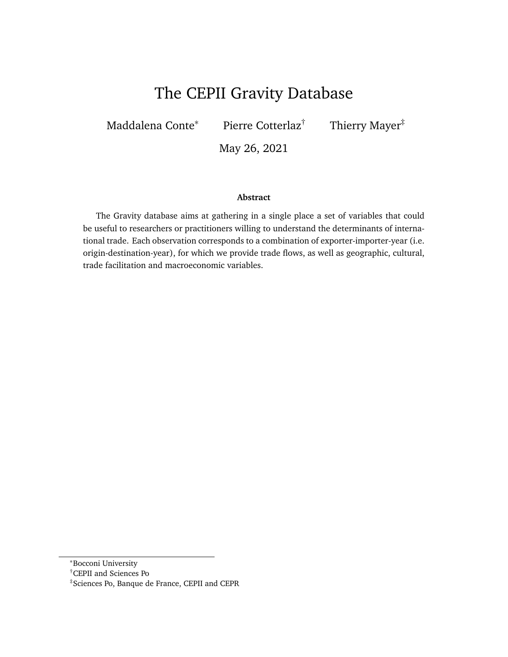# The CEPII Gravity Database

Maddalena Conte<sup>∗</sup> Pierre Cotterlaz† Thierry Mayer‡

May 26, 2021

#### **Abstract**

The Gravity database aims at gathering in a single place a set of variables that could be useful to researchers or practitioners willing to understand the determinants of international trade. Each observation corresponds to a combination of exporter-importer-year (i.e. origin-destination-year), for which we provide trade flows, as well as geographic, cultural, trade facilitation and macroeconomic variables.

<sup>∗</sup>Bocconi University

<sup>†</sup>CEPII and Sciences Po

<sup>‡</sup>Sciences Po, Banque de France, CEPII and CEPR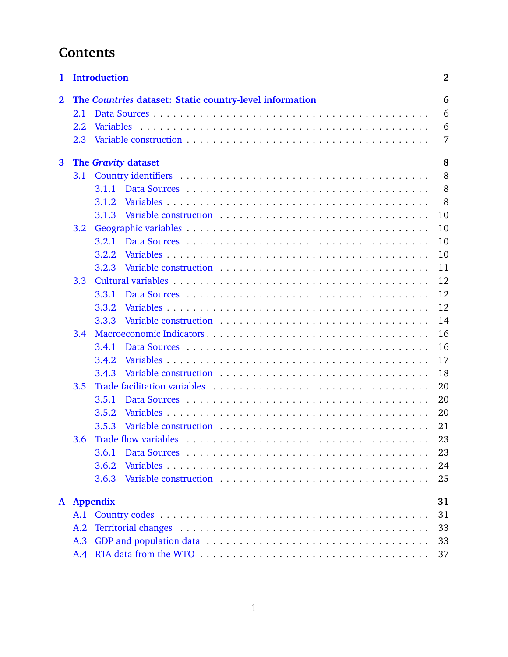# **Contents**

| 1            |                          | <b>Introduction</b>                                                                                                                                                                                                                     | $\bf{2}$    |  |  |  |  |  |
|--------------|--------------------------|-----------------------------------------------------------------------------------------------------------------------------------------------------------------------------------------------------------------------------------------|-------------|--|--|--|--|--|
| $\mathbf{2}$ | 2.1<br>2.2               | The Countries dataset: Static country-level information                                                                                                                                                                                 | 6<br>6<br>6 |  |  |  |  |  |
|              | 2.3                      |                                                                                                                                                                                                                                         | 7           |  |  |  |  |  |
| $\mathbf{3}$ | The Gravity dataset<br>8 |                                                                                                                                                                                                                                         |             |  |  |  |  |  |
|              | 3.1                      |                                                                                                                                                                                                                                         | 8           |  |  |  |  |  |
|              |                          | 3.1.1                                                                                                                                                                                                                                   | 8           |  |  |  |  |  |
|              |                          | 3.1.2                                                                                                                                                                                                                                   | 8           |  |  |  |  |  |
|              |                          | 3.1.3                                                                                                                                                                                                                                   | 10          |  |  |  |  |  |
|              | 3.2                      |                                                                                                                                                                                                                                         | 10          |  |  |  |  |  |
|              |                          | 3.2.1                                                                                                                                                                                                                                   | 10          |  |  |  |  |  |
|              |                          | 3.2.2                                                                                                                                                                                                                                   | 10          |  |  |  |  |  |
|              |                          | Variable construction enterprise in the set of the set of the set of the set of the set of the set of the set of the set of the set of the set of the set of the set of the set of the set of the set of the set of the set of<br>3.2.3 | 11          |  |  |  |  |  |
|              | 3.3                      |                                                                                                                                                                                                                                         | 12          |  |  |  |  |  |
|              |                          | 3.3.1                                                                                                                                                                                                                                   | 12          |  |  |  |  |  |
|              |                          | 3.3.2                                                                                                                                                                                                                                   | 12          |  |  |  |  |  |
|              |                          | Variable construction enterprise in the set of the set of the set of the set of the set of the set of the set of the set of the set of the set of the set of the set of the set of the set of the set of the set of the set of<br>3.3.3 | 14          |  |  |  |  |  |
|              | 3.4                      |                                                                                                                                                                                                                                         | 16          |  |  |  |  |  |
|              |                          | 3.4.1                                                                                                                                                                                                                                   | 16          |  |  |  |  |  |
|              |                          | 3.4.2                                                                                                                                                                                                                                   | 17          |  |  |  |  |  |
|              |                          | 3.4.3                                                                                                                                                                                                                                   | 18          |  |  |  |  |  |
|              | 3.5                      |                                                                                                                                                                                                                                         | 20          |  |  |  |  |  |
|              |                          | 3.5.1                                                                                                                                                                                                                                   | 20          |  |  |  |  |  |
|              |                          | 3.5.2                                                                                                                                                                                                                                   | 20          |  |  |  |  |  |
|              |                          | 3.5.3                                                                                                                                                                                                                                   | 21          |  |  |  |  |  |
|              | 3.6                      |                                                                                                                                                                                                                                         | 23          |  |  |  |  |  |
|              |                          | 3.6.1                                                                                                                                                                                                                                   | 23          |  |  |  |  |  |
|              |                          | 3.6.2                                                                                                                                                                                                                                   | 24          |  |  |  |  |  |
|              |                          | 3.6.3                                                                                                                                                                                                                                   | 25          |  |  |  |  |  |
| $\mathbf{A}$ |                          | <b>Appendix</b>                                                                                                                                                                                                                         | 31          |  |  |  |  |  |
|              | 31<br>A.1                |                                                                                                                                                                                                                                         |             |  |  |  |  |  |
|              | A.2                      | 33                                                                                                                                                                                                                                      |             |  |  |  |  |  |
|              | A.3                      | 33                                                                                                                                                                                                                                      |             |  |  |  |  |  |
|              | A.4                      | 37                                                                                                                                                                                                                                      |             |  |  |  |  |  |
|              |                          |                                                                                                                                                                                                                                         |             |  |  |  |  |  |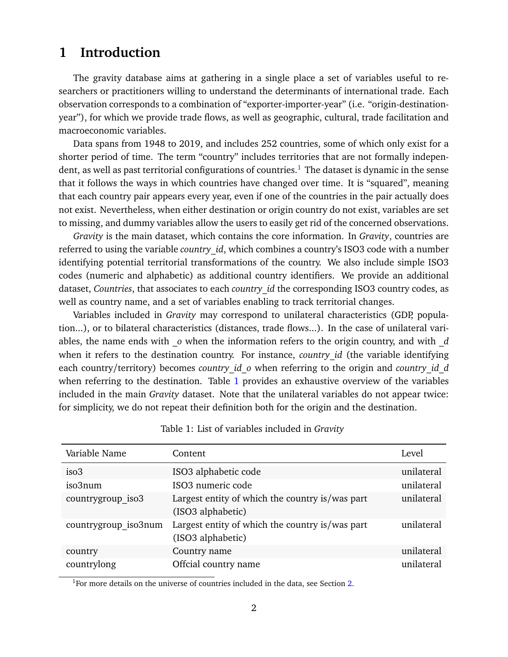# <span id="page-2-0"></span>**1 Introduction**

The gravity database aims at gathering in a single place a set of variables useful to researchers or practitioners willing to understand the determinants of international trade. Each observation corresponds to a combination of "exporter-importer-year" (i.e. "origin-destinationyear"), for which we provide trade flows, as well as geographic, cultural, trade facilitation and macroeconomic variables.

Data spans from 1948 to 2019, and includes 252 countries, some of which only exist for a shorter period of time. The term "country" includes territories that are not formally indepen-dent, as well as past territorial configurations of countries.<sup>[1](#page-2-1)</sup> The dataset is dynamic in the sense that it follows the ways in which countries have changed over time. It is "squared", meaning that each country pair appears every year, even if one of the countries in the pair actually does not exist. Nevertheless, when either destination or origin country do not exist, variables are set to missing, and dummy variables allow the users to easily get rid of the concerned observations.

*Gravity* is the main dataset, which contains the core information. In *Gravity*, countries are referred to using the variable *country* id, which combines a country's ISO3 code with a number identifying potential territorial transformations of the country. We also include simple ISO3 codes (numeric and alphabetic) as additional country identifiers. We provide an additional dataset, *Countries*, that associates to each *country\_id* the corresponding ISO3 country codes, as well as country name, and a set of variables enabling to track territorial changes.

Variables included in *Gravity* may correspond to unilateral characteristics (GDP, population...), or to bilateral characteristics (distances, trade flows...). In the case of unilateral variables, the name ends with *\_o* when the information refers to the origin country, and with *\_d* when it refers to the destination country. For instance, *country\_id* (the variable identifying each country/territory) becomes *country* id o when referring to the origin and *country* id d when referring to the destination. Table [1](#page-2-2) provides an exhaustive overview of the variables included in the main *Gravity* dataset. Note that the unilateral variables do not appear twice: for simplicity, we do not repeat their definition both for the origin and the destination.

<span id="page-2-2"></span>

| Variable Name        | Content                                                              | Level      |
|----------------------|----------------------------------------------------------------------|------------|
| iso <sub>3</sub>     | ISO3 alphabetic code                                                 | unilateral |
| iso3num              | ISO3 numeric code                                                    | unilateral |
| countrygroup iso3    | Largest entity of which the country is/was part<br>(ISO3 alphabetic) | unilateral |
| countrygroup iso3num | Largest entity of which the country is/was part<br>(ISO3 alphabetic) | unilateral |
| country              | Country name                                                         | unilateral |
| countrylong          | Offcial country name                                                 | unilateral |

Table 1: List of variables included in *Gravity*

<span id="page-2-1"></span><sup>1</sup>For more details on the universe of countries included in the data, see Section [2.](#page-6-0)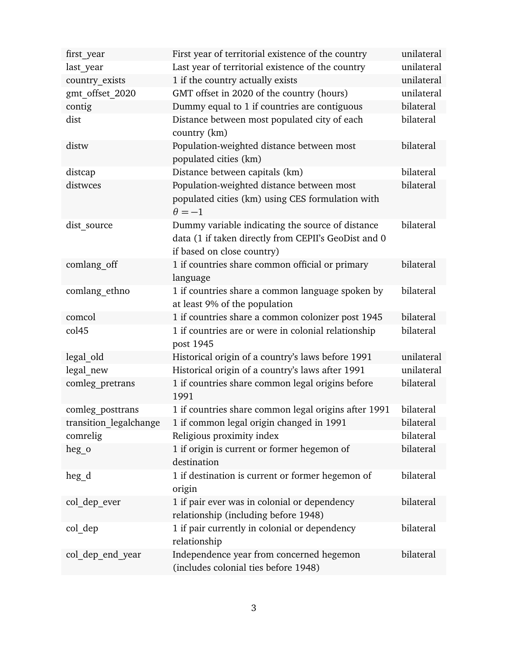| first year             | First year of territorial existence of the country                                                                                     | unilateral |
|------------------------|----------------------------------------------------------------------------------------------------------------------------------------|------------|
| last year              | Last year of territorial existence of the country                                                                                      | unilateral |
| country exists         | 1 if the country actually exists                                                                                                       | unilateral |
| gmt_offset_2020        | GMT offset in 2020 of the country (hours)                                                                                              | unilateral |
| contig                 | Dummy equal to 1 if countries are contiguous                                                                                           | bilateral  |
| dist                   | Distance between most populated city of each<br>country (km)                                                                           | bilateral  |
| distw                  | Population-weighted distance between most<br>populated cities (km)                                                                     | bilateral  |
| distcap                | Distance between capitals (km)                                                                                                         | bilateral  |
| distwces               | Population-weighted distance between most<br>populated cities (km) using CES formulation with<br>$\theta = -1$                         | bilateral  |
| dist source            | Dummy variable indicating the source of distance<br>data (1 if taken directly from CEPII's GeoDist and 0<br>if based on close country) | bilateral  |
| comlang off            | 1 if countries share common official or primary<br>language                                                                            | bilateral  |
| comlang ethno          | 1 if countries share a common language spoken by<br>at least 9% of the population                                                      | bilateral  |
| comcol                 | 1 if countries share a common colonizer post 1945                                                                                      | bilateral  |
| col <sub>45</sub>      | 1 if countries are or were in colonial relationship<br>post 1945                                                                       | bilateral  |
| legal old              | Historical origin of a country's laws before 1991                                                                                      | unilateral |
| legal new              | Historical origin of a country's laws after 1991                                                                                       | unilateral |
| comleg pretrans        | 1 if countries share common legal origins before<br>1991                                                                               | bilateral  |
| comleg posttrans       | 1 if countries share common legal origins after 1991                                                                                   | bilateral  |
| transition_legalchange | 1 if common legal origin changed in 1991                                                                                               | bilateral  |
| comrelig               | Religious proximity index                                                                                                              | bilateral  |
| heg o                  | 1 if origin is current or former hegemon of<br>destination                                                                             | bilateral  |
| heg_d                  | 1 if destination is current or former hegemon of<br>origin                                                                             | bilateral  |
| col dep ever           | 1 if pair ever was in colonial or dependency<br>relationship (including before 1948)                                                   | bilateral  |
| col dep                | 1 if pair currently in colonial or dependency<br>relationship                                                                          | bilateral  |
| col dep end year       | Independence year from concerned hegemon<br>(includes colonial ties before 1948)                                                       | bilateral  |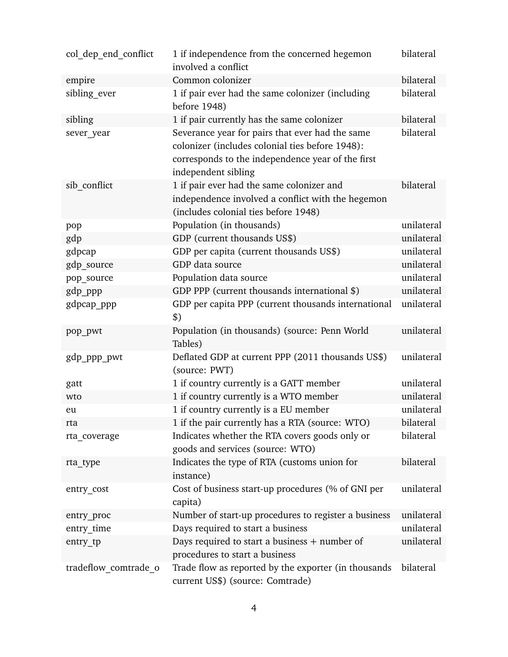| col dep end conflict | 1 if independence from the concerned hegemon<br>involved a conflict                                                                                                            | bilateral  |
|----------------------|--------------------------------------------------------------------------------------------------------------------------------------------------------------------------------|------------|
| empire               | Common colonizer                                                                                                                                                               | bilateral  |
| sibling ever         | 1 if pair ever had the same colonizer (including<br>before 1948)                                                                                                               | bilateral  |
| sibling              | 1 if pair currently has the same colonizer                                                                                                                                     | bilateral  |
| sever year           | Severance year for pairs that ever had the same<br>colonizer (includes colonial ties before 1948):<br>corresponds to the independence year of the first<br>independent sibling | bilateral  |
| sib conflict         | 1 if pair ever had the same colonizer and<br>independence involved a conflict with the hegemon<br>(includes colonial ties before 1948)                                         | bilateral  |
| pop                  | Population (in thousands)                                                                                                                                                      | unilateral |
| gdp                  | GDP (current thousands US\$)                                                                                                                                                   | unilateral |
| gdpcap               | GDP per capita (current thousands US\$)                                                                                                                                        | unilateral |
| gdp source           | GDP data source                                                                                                                                                                | unilateral |
| pop_source           | Population data source                                                                                                                                                         | unilateral |
| gdp_ppp              | GDP PPP (current thousands international \$)                                                                                                                                   | unilateral |
| gdpcap_ppp           | GDP per capita PPP (current thousands international<br>\$)                                                                                                                     | unilateral |
| pop_pwt              | Population (in thousands) (source: Penn World<br>Tables)                                                                                                                       | unilateral |
| gdp_ppp_pwt          | Deflated GDP at current PPP (2011 thousands US\$)<br>(source: PWT)                                                                                                             | unilateral |
| gatt                 | 1 if country currently is a GATT member                                                                                                                                        | unilateral |
| wto                  | 1 if country currently is a WTO member                                                                                                                                         | unilateral |
| eu                   | 1 if country currently is a EU member                                                                                                                                          | unilateral |
| rta                  | 1 if the pair currently has a RTA (source: WTO)                                                                                                                                | bilateral  |
| rta coverage         | Indicates whether the RTA covers goods only or<br>goods and services (source: WTO)                                                                                             | bilateral  |
| rta type             | Indicates the type of RTA (customs union for<br>instance)                                                                                                                      | bilateral  |
| entry cost           | Cost of business start-up procedures (% of GNI per<br>capita)                                                                                                                  | unilateral |
| entry_proc           | Number of start-up procedures to register a business                                                                                                                           | unilateral |
| entry time           | Days required to start a business                                                                                                                                              | unilateral |
| entry_tp             | Days required to start a business $+$ number of<br>procedures to start a business                                                                                              | unilateral |
| tradeflow comtrade o | Trade flow as reported by the exporter (in thousands<br>current US\$) (source: Comtrade)                                                                                       | bilateral  |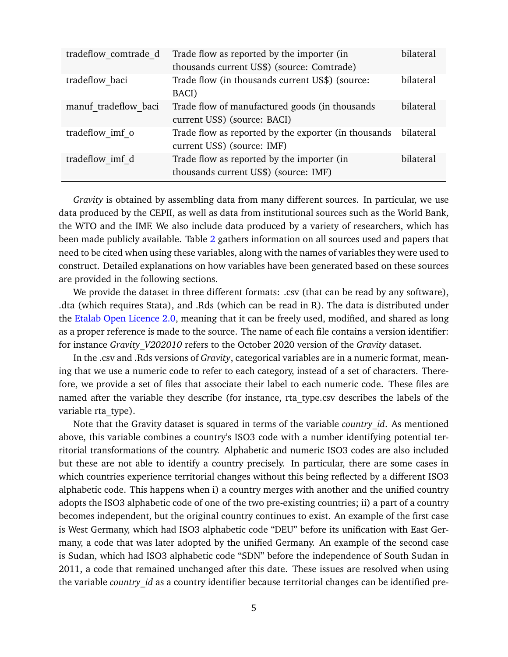| tradeflow comtrade d | Trade flow as reported by the importer (in<br>thousands current US\$) (source: Comtrade) | bilateral |
|----------------------|------------------------------------------------------------------------------------------|-----------|
| tradeflow baci       | Trade flow (in thousands current US\$) (source:<br>BACI)                                 | bilateral |
| manuf tradeflow baci | Trade flow of manufactured goods (in thousands<br>current US\$) (source: BACI)           | bilateral |
| tradeflow imf o      | Trade flow as reported by the exporter (in thousands<br>current US\$) (source: IMF)      | bilateral |
| tradeflow imf d      | Trade flow as reported by the importer (in<br>thousands current US\$) (source: IMF)      | bilateral |

*Gravity* is obtained by assembling data from many different sources. In particular, we use data produced by the CEPII, as well as data from institutional sources such as the World Bank, the WTO and the IMF. We also include data produced by a variety of researchers, which has been made publicly available. Table [2](#page-29-0) gathers information on all sources used and papers that need to be cited when using these variables, along with the names of variables they were used to construct. Detailed explanations on how variables have been generated based on these sources are provided in the following sections.

We provide the dataset in three different formats: .csv (that can be read by any software), .dta (which requires Stata), and .Rds (which can be read in R). The data is distributed under the [Etalab Open Licence 2.0,](https://www.etalab.gouv.fr/wp-content/uploads/2018/11/open-licence.pdf) meaning that it can be freely used, modified, and shared as long as a proper reference is made to the source. The name of each file contains a version identifier: for instance *Gravity\_V202010* refers to the October 2020 version of the *Gravity* dataset.

In the .csv and .Rds versions of *Gravity*, categorical variables are in a numeric format, meaning that we use a numeric code to refer to each category, instead of a set of characters. Therefore, we provide a set of files that associate their label to each numeric code. These files are named after the variable they describe (for instance, rta type.csv describes the labels of the variable rta type).

Note that the Gravity dataset is squared in terms of the variable *country id*. As mentioned above, this variable combines a country's ISO3 code with a number identifying potential territorial transformations of the country. Alphabetic and numeric ISO3 codes are also included but these are not able to identify a country precisely. In particular, there are some cases in which countries experience territorial changes without this being reflected by a different ISO3 alphabetic code. This happens when i) a country merges with another and the unified country adopts the ISO3 alphabetic code of one of the two pre-existing countries; ii) a part of a country becomes independent, but the original country continues to exist. An example of the first case is West Germany, which had ISO3 alphabetic code "DEU" before its unification with East Germany, a code that was later adopted by the unified Germany. An example of the second case is Sudan, which had ISO3 alphabetic code "SDN" before the independence of South Sudan in 2011, a code that remained unchanged after this date. These issues are resolved when using the variable *country* id as a country identifier because territorial changes can be identified pre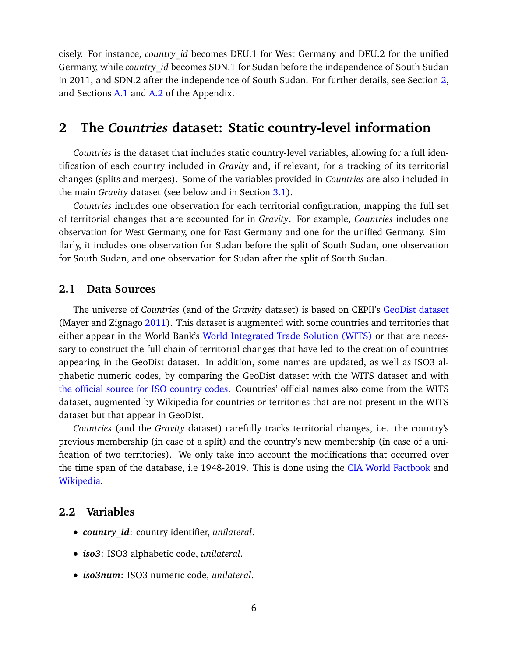cisely. For instance, *country\_id* becomes DEU.1 for West Germany and DEU.2 for the unified Germany, while *country\_id* becomes SDN.1 for Sudan before the independence of South Sudan in 2011, and SDN.2 after the independence of South Sudan. For further details, see Section [2,](#page-6-0) and Sections [A.1](#page-31-1) and [A.2](#page-33-0) of the Appendix.

# <span id="page-6-0"></span>**2 The** *Countries* **dataset: Static country-level information**

*Countries* is the dataset that includes static country-level variables, allowing for a full identification of each country included in *Gravity* and, if relevant, for a tracking of its territorial changes (splits and merges). Some of the variables provided in *Countries* are also included in the main *Gravity* dataset (see below and in Section [3.1\)](#page-8-1).

*Countries* includes one observation for each territorial configuration, mapping the full set of territorial changes that are accounted for in *Gravity*. For example, *Countries* includes one observation for West Germany, one for East Germany and one for the unified Germany. Similarly, it includes one observation for Sudan before the split of South Sudan, one observation for South Sudan, and one observation for Sudan after the split of South Sudan.

## <span id="page-6-1"></span>**2.1 Data Sources**

The universe of *Countries* (and of the *Gravity* dataset) is based on CEPII's [GeoDist dataset](http://www.cepii.fr/CEPII/en/bdd_modele/presentation.asp?id=6) (Mayer and Zignago [2011\)](#page-30-0). This dataset is augmented with some countries and territories that either appear in the World Bank's [World Integrated Trade Solution \(WITS\)](https://wits.worldbank.org/CountryProfile/Metadata/en/Country/All) or that are necessary to construct the full chain of territorial changes that have led to the creation of countries appearing in the GeoDist dataset. In addition, some names are updated, as well as ISO3 alphabetic numeric codes, by comparing the GeoDist dataset with the WITS dataset and with [the official source for ISO country codes.](https://www.iso.org/iso-3166-country-codes.html) Countries' official names also come from the WITS dataset, augmented by Wikipedia for countries or territories that are not present in the WITS dataset but that appear in GeoDist.

*Countries* (and the *Gravity* dataset) carefully tracks territorial changes, i.e. the country's previous membership (in case of a split) and the country's new membership (in case of a unification of two territories). We only take into account the modifications that occurred over the time span of the database, i.e 1948-2019. This is done using the [CIA World Factbook](https://www.cia.gov/library/publications/the-world-factbook/fields/305.html) and [Wikipedia.](https://en.wikipedia.org/wiki/List_of_sovereign_states_by_date_of_formation)

# <span id="page-6-2"></span>**2.2 Variables**

- *country\_id*: country identifier, *unilateral*.
- *iso3*: ISO3 alphabetic code, *unilateral*.
- *iso3num*: ISO3 numeric code, *unilateral*.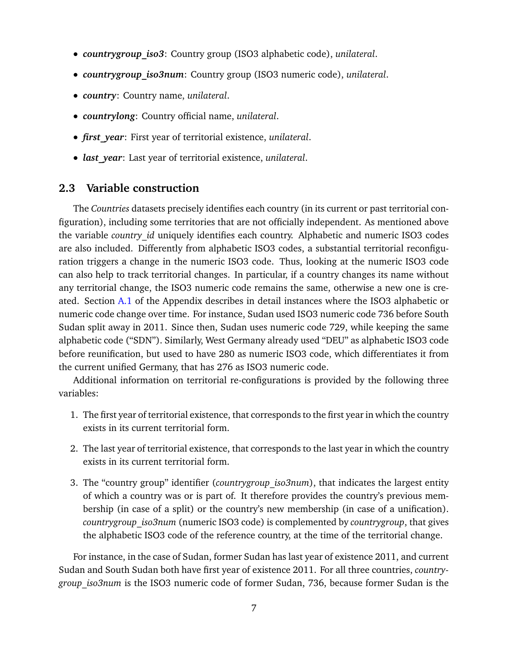- *countrygroup\_iso3*: Country group (ISO3 alphabetic code), *unilateral*.
- *countrygroup\_iso3num*: Country group (ISO3 numeric code), *unilateral*.
- *country*: Country name, *unilateral*.
- *countrylong*: Country official name, *unilateral*.
- *first\_year*: First year of territorial existence, *unilateral*.
- *last\_year*: Last year of territorial existence, *unilateral*.

## <span id="page-7-0"></span>**2.3 Variable construction**

The *Countries* datasets precisely identifies each country (in its current or past territorial configuration), including some territories that are not officially independent. As mentioned above the variable *country* id uniquely identifies each country. Alphabetic and numeric ISO3 codes are also included. Differently from alphabetic ISO3 codes, a substantial territorial reconfiguration triggers a change in the numeric ISO3 code. Thus, looking at the numeric ISO3 code can also help to track territorial changes. In particular, if a country changes its name without any territorial change, the ISO3 numeric code remains the same, otherwise a new one is created. Section [A.1](#page-31-1) of the Appendix describes in detail instances where the ISO3 alphabetic or numeric code change over time. For instance, Sudan used ISO3 numeric code 736 before South Sudan split away in 2011. Since then, Sudan uses numeric code 729, while keeping the same alphabetic code ("SDN"). Similarly, West Germany already used "DEU" as alphabetic ISO3 code before reunification, but used to have 280 as numeric ISO3 code, which differentiates it from the current unified Germany, that has 276 as ISO3 numeric code.

Additional information on territorial re-configurations is provided by the following three variables:

- 1. The first year of territorial existence, that corresponds to the first year in which the country exists in its current territorial form.
- 2. The last year of territorial existence, that corresponds to the last year in which the country exists in its current territorial form.
- 3. The "country group" identifier (*countrygroup\_iso3num*), that indicates the largest entity of which a country was or is part of. It therefore provides the country's previous membership (in case of a split) or the country's new membership (in case of a unification). *countrygroup\_iso3num* (numeric ISO3 code) is complemented by *countrygroup*, that gives the alphabetic ISO3 code of the reference country, at the time of the territorial change.

For instance, in the case of Sudan, former Sudan has last year of existence 2011, and current Sudan and South Sudan both have first year of existence 2011. For all three countries, *countrygroup\_iso3num* is the ISO3 numeric code of former Sudan, 736, because former Sudan is the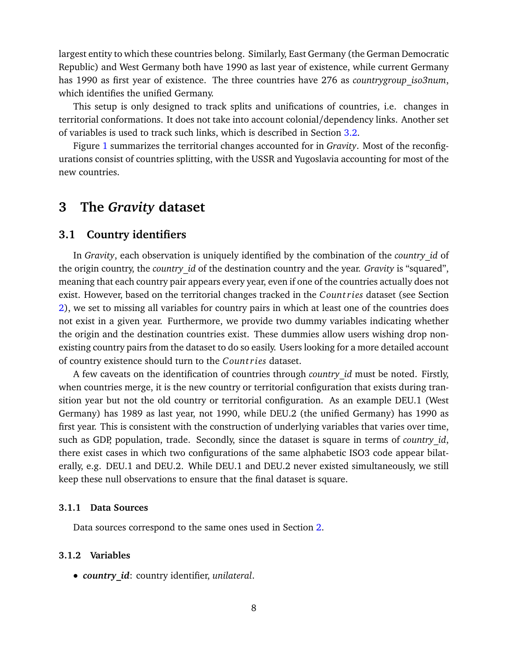largest entity to which these countries belong. Similarly, East Germany (the German Democratic Republic) and West Germany both have 1990 as last year of existence, while current Germany has 1990 as first year of existence. The three countries have 276 as *countrygroup\_iso3num*, which identifies the unified Germany.

This setup is only designed to track splits and unifications of countries, i.e. changes in territorial conformations. It does not take into account colonial/dependency links. Another set of variables is used to track such links, which is described in Section [3.2.](#page-10-1)

Figure [1](#page-9-0) summarizes the territorial changes accounted for in *Gravity*. Most of the reconfigurations consist of countries splitting, with the USSR and Yugoslavia accounting for most of the new countries.

# <span id="page-8-0"></span>**3 The** *Gravity* **dataset**

# <span id="page-8-1"></span>**3.1 Country identifiers**

In *Gravity*, each observation is uniquely identified by the combination of the *country\_id* of the origin country, the *country\_id* of the destination country and the year. *Gravity* is "squared", meaning that each country pair appears every year, even if one of the countries actually does not exist. However, based on the territorial changes tracked in the *C ount ries* dataset (see Section [2\)](#page-6-0), we set to missing all variables for country pairs in which at least one of the countries does not exist in a given year. Furthermore, we provide two dummy variables indicating whether the origin and the destination countries exist. These dummies allow users wishing drop nonexisting country pairs from the dataset to do so easily. Users looking for a more detailed account of country existence should turn to the *C ount ries* dataset.

A few caveats on the identification of countries through *country\_id* must be noted. Firstly, when countries merge, it is the new country or territorial configuration that exists during transition year but not the old country or territorial configuration. As an example DEU.1 (West Germany) has 1989 as last year, not 1990, while DEU.2 (the unified Germany) has 1990 as first year. This is consistent with the construction of underlying variables that varies over time, such as GDP, population, trade. Secondly, since the dataset is square in terms of *country* id, there exist cases in which two configurations of the same alphabetic ISO3 code appear bilaterally, e.g. DEU.1 and DEU.2. While DEU.1 and DEU.2 never existed simultaneously, we still keep these null observations to ensure that the final dataset is square.

### <span id="page-8-2"></span>**3.1.1 Data Sources**

Data sources correspond to the same ones used in Section [2.](#page-6-0)

### <span id="page-8-3"></span>**3.1.2 Variables**

• *country\_id*: country identifier, *unilateral*.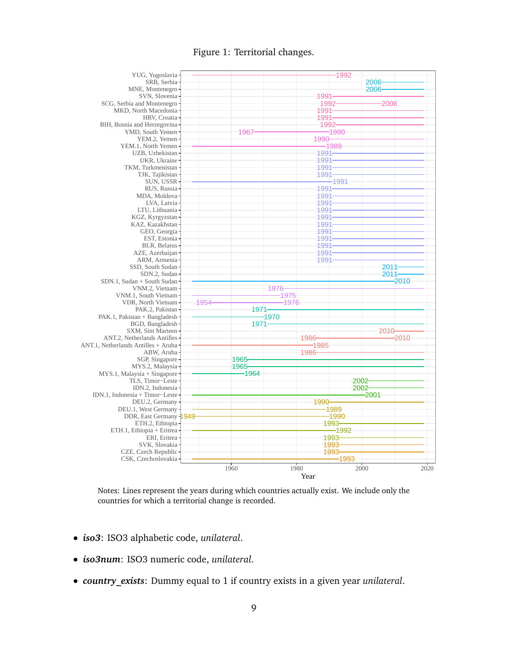Figure 1: Territorial changes.

<span id="page-9-0"></span>

Notes: Lines represent the years during which countries actually exist. We include only the countries for which a territorial change is recorded.

- *iso3*: ISO3 alphabetic code, *unilateral*.
- *iso3num*: ISO3 numeric code, *unilateral*.
- *country\_exists*: Dummy equal to 1 if country exists in a given year *unilateral*.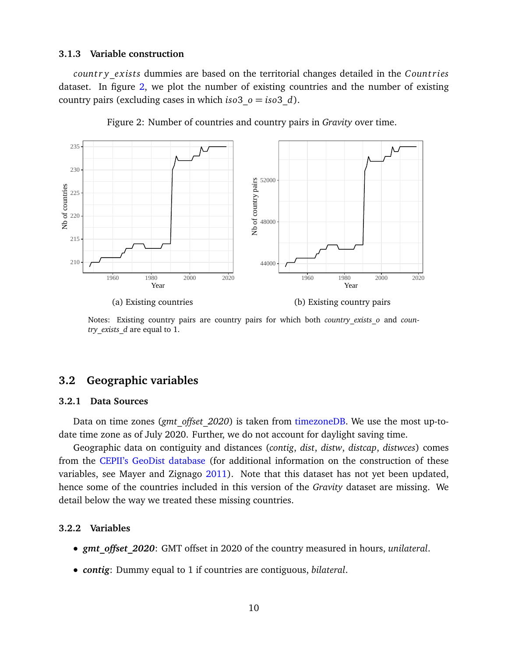#### <span id="page-10-0"></span>**3.1.3 Variable construction**

*country exists* dummies are based on the territorial changes detailed in the *Countries* dataset. In figure [2,](#page-10-4) we plot the number of existing countries and the number of existing country pairs (excluding cases in which  $iso3 \, o = iso3 \, d$ ).

<span id="page-10-4"></span>

Figure 2: Number of countries and country pairs in *Gravity* over time.

(a) Existing countries

(b) Existing country pairs

Notes: Existing country pairs are country pairs for which both *country exists* o and *country\_exists\_d* are equal to 1.

# <span id="page-10-1"></span>**3.2 Geographic variables**

#### <span id="page-10-2"></span>**3.2.1 Data Sources**

Data on time zones (*gmt\_offset\_2020*) is taken from [timezoneDB.](https://timezonedb.com/) We use the most up-todate time zone as of July 2020. Further, we do not account for daylight saving time.

Geographic data on contiguity and distances (*contig*, *dist*, *distw*, *distcap*, *distwces*) comes from the [CEPII's GeoDist database](http://www.cepii.fr/CEPII/en/bdd_modele/presentation.asp?id=6) (for additional information on the construction of these variables, see Mayer and Zignago [2011\)](#page-30-0). Note that this dataset has not yet been updated, hence some of the countries included in this version of the *Gravity* dataset are missing. We detail below the way we treated these missing countries.

#### <span id="page-10-3"></span>**3.2.2 Variables**

- *gmt\_offset\_2020*: GMT offset in 2020 of the country measured in hours, *unilateral*.
- *contig*: Dummy equal to 1 if countries are contiguous, *bilateral*.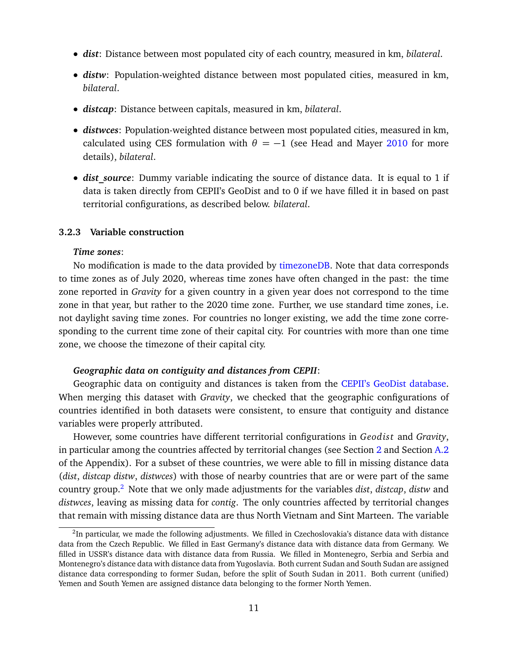- *dist*: Distance between most populated city of each country, measured in km, *bilateral*.
- *distw*: Population-weighted distance between most populated cities, measured in km, *bilateral*.
- *distcap*: Distance between capitals, measured in km, *bilateral*.
- *distwces*: Population-weighted distance between most populated cities, measured in km, calculated using CES formulation with  $\theta = -1$  (see Head and Mayer [2010](#page-30-1) for more details), *bilateral*.
- *dist source*: Dummy variable indicating the source of distance data. It is equal to 1 if data is taken directly from CEPII's GeoDist and to 0 if we have filled it in based on past territorial configurations, as described below. *bilateral*.

#### <span id="page-11-0"></span>**3.2.3 Variable construction**

#### *Time zones*:

No modification is made to the data provided by [timezoneDB.](https://timezonedb.com/) Note that data corresponds to time zones as of July 2020, whereas time zones have often changed in the past: the time zone reported in *Gravity* for a given country in a given year does not correspond to the time zone in that year, but rather to the 2020 time zone. Further, we use standard time zones, i.e. not daylight saving time zones. For countries no longer existing, we add the time zone corresponding to the current time zone of their capital city. For countries with more than one time zone, we choose the timezone of their capital city.

#### *Geographic data on contiguity and distances from CEPII*:

Geographic data on contiguity and distances is taken from the [CEPII's GeoDist database.](http://www.cepii.fr/CEPII/en/bdd_modele/presentation.asp?id=6) When merging this dataset with *Gravity*, we checked that the geographic configurations of countries identified in both datasets were consistent, to ensure that contiguity and distance variables were properly attributed.

However, some countries have different territorial configurations in *Geodist* and *Gravity*, in particular among the countries affected by territorial changes (see Section [2](#page-6-0) and Section [A.2](#page-33-0) of the Appendix). For a subset of these countries, we were able to fill in missing distance data (*dist*, *distcap distw*, *distwces*) with those of nearby countries that are or were part of the same country group.[2](#page-11-1) Note that we only made adjustments for the variables *dist*, *distcap*, *distw* and *distwces*, leaving as missing data for *contig*. The only countries affected by territorial changes that remain with missing distance data are thus North Vietnam and Sint Marteen. The variable

<span id="page-11-1"></span><sup>&</sup>lt;sup>2</sup>In particular, we made the following adjustments. We filled in Czechoslovakia's distance data with distance data from the Czech Republic. We filled in East Germany's distance data with distance data from Germany. We filled in USSR's distance data with distance data from Russia. We filled in Montenegro, Serbia and Serbia and Montenegro's distance data with distance data from Yugoslavia. Both current Sudan and South Sudan are assigned distance data corresponding to former Sudan, before the split of South Sudan in 2011. Both current (unified) Yemen and South Yemen are assigned distance data belonging to the former North Yemen.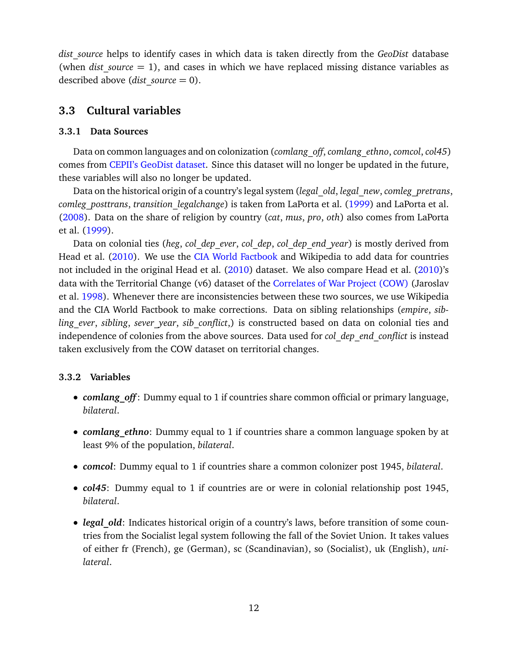*dist\_source* helps to identify cases in which data is taken directly from the *GeoDist* database (when *dist source*  $= 1$ ), and cases in which we have replaced missing distance variables as described above (*dist\_source* = 0).

## <span id="page-12-0"></span>**3.3 Cultural variables**

## <span id="page-12-1"></span>**3.3.1 Data Sources**

Data on common languages and on colonization (*comlang\_off*, *comlang\_ethno*, *comcol*, *col45*) comes from [CEPII's GeoDist dataset.](http://www.cepii.fr/CEPII/en/bdd_modele/presentation.asp?id=6) Since this dataset will no longer be updated in the future, these variables will also no longer be updated.

Data on the historical origin of a country's legal system (*legal\_old*, *legal\_new*, *comleg\_pretrans*, *comleg\_posttrans*, *transition\_legalchange*) is taken from LaPorta et al. [\(1999\)](#page-30-2) and LaPorta et al. [\(2008\)](#page-30-3). Data on the share of religion by country (*cat*, *mus*, *pro*, *oth*) also comes from LaPorta et al. [\(1999\)](#page-30-2).

Data on colonial ties (*heg*, *col\_dep\_ever*, *col\_dep*, *col\_dep\_end\_year*) is mostly derived from Head et al. [\(2010\)](#page-30-4). We use the [CIA World Factbook](https://www.cia.gov/library/publications/the-world-factbook/fields/305.html) and Wikipedia to add data for countries not included in the original Head et al. [\(2010\)](#page-30-4) dataset. We also compare Head et al. (2010)'s data with the Territorial Change (v6) dataset of the [Correlates of War Project \(COW\)](https://correlatesofwar.org/data-sets/territorial-change) (Jaroslav et al. [1998\)](#page-30-5). Whenever there are inconsistencies between these two sources, we use Wikipedia and the CIA World Factbook to make corrections. Data on sibling relationships (*empire*, *sibling\_ever*, *sibling*, *sever\_year*, *sib\_conflict*,) is constructed based on data on colonial ties and independence of colonies from the above sources. Data used for *col\_dep\_end\_conflict* is instead taken exclusively from the COW dataset on territorial changes.

## <span id="page-12-2"></span>**3.3.2 Variables**

- *comlang off*: Dummy equal to 1 if countries share common official or primary language, *bilateral*.
- *comlang ethno*: Dummy equal to 1 if countries share a common language spoken by at least 9% of the population, *bilateral*.
- *comcol*: Dummy equal to 1 if countries share a common colonizer post 1945, *bilateral*.
- *col45*: Dummy equal to 1 if countries are or were in colonial relationship post 1945, *bilateral*.
- *legal old*: Indicates historical origin of a country's laws, before transition of some countries from the Socialist legal system following the fall of the Soviet Union. It takes values of either fr (French), ge (German), sc (Scandinavian), so (Socialist), uk (English), *unilateral*.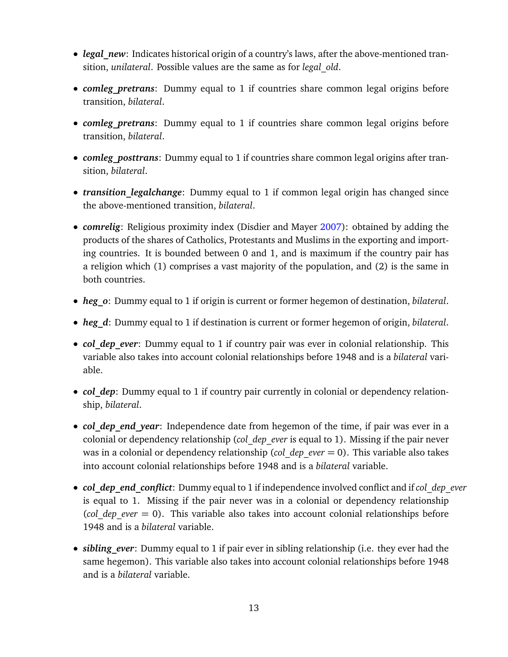- *legal\_new*: Indicates historical origin of a country's laws, after the above-mentioned transition, *unilateral*. Possible values are the same as for *legal\_old*.
- *comleg pretrans:* Dummy equal to 1 if countries share common legal origins before transition, *bilateral*.
- *comleg pretrans*: Dummy equal to 1 if countries share common legal origins before transition, *bilateral*.
- *comleg\_posttrans*: Dummy equal to 1 if countries share common legal origins after transition, *bilateral*.
- *transition legalchange*: Dummy equal to 1 if common legal origin has changed since the above-mentioned transition, *bilateral*.
- *comrelig*: Religious proximity index (Disdier and Mayer [2007\)](#page-30-6): obtained by adding the products of the shares of Catholics, Protestants and Muslims in the exporting and importing countries. It is bounded between 0 and 1, and is maximum if the country pair has a religion which (1) comprises a vast majority of the population, and (2) is the same in both countries.
- *heg\_o*: Dummy equal to 1 if origin is current or former hegemon of destination, *bilateral*.
- *heg\_d*: Dummy equal to 1 if destination is current or former hegemon of origin, *bilateral*.
- *col dep ever*: Dummy equal to 1 if country pair was ever in colonial relationship. This variable also takes into account colonial relationships before 1948 and is a *bilateral* variable.
- *col dep*: Dummy equal to 1 if country pair currently in colonial or dependency relationship, *bilateral*.
- *col dep end year*: Independence date from hegemon of the time, if pair was ever in a colonial or dependency relationship (*col\_dep\_ever* is equal to 1). Missing if the pair never was in a colonial or dependency relationship (*col\_dep\_ever* = 0). This variable also takes into account colonial relationships before 1948 and is a *bilateral* variable.
- *col\_dep\_end\_conflict*: Dummy equal to 1 if independence involved conflict and if*col\_dep\_ever* is equal to 1. Missing if the pair never was in a colonial or dependency relationship (*col\_dep\_ever* = 0). This variable also takes into account colonial relationships before 1948 and is a *bilateral* variable.
- *sibling ever*: Dummy equal to 1 if pair ever in sibling relationship (i.e. they ever had the same hegemon). This variable also takes into account colonial relationships before 1948 and is a *bilateral* variable.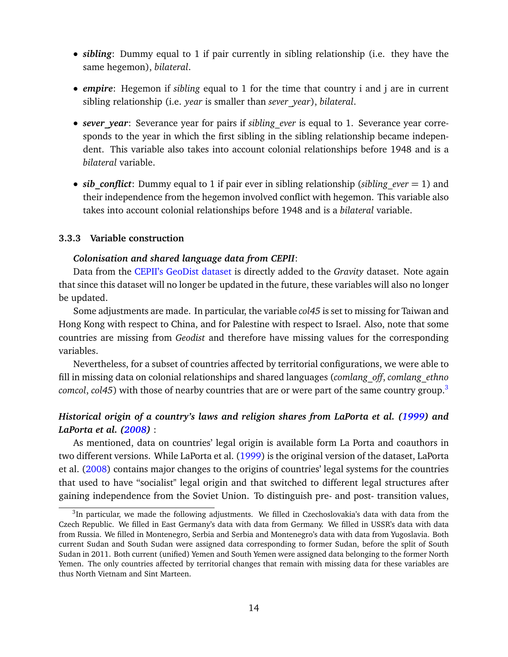- *sibling*: Dummy equal to 1 if pair currently in sibling relationship (i.e. they have the same hegemon), *bilateral*.
- *empire*: Hegemon if *sibling* equal to 1 for the time that country i and j are in current sibling relationship (i.e. *year* is smaller than *sever\_year*), *bilateral*.
- *sever year*: Severance year for pairs if *sibling ever* is equal to 1. Severance year corresponds to the year in which the first sibling in the sibling relationship became independent. This variable also takes into account colonial relationships before 1948 and is a *bilateral* variable.
- *sib* conflict: Dummy equal to 1 if pair ever in sibling relationship (*sibling ever*  $= 1$ ) and their independence from the hegemon involved conflict with hegemon. This variable also takes into account colonial relationships before 1948 and is a *bilateral* variable.

## <span id="page-14-0"></span>**3.3.3 Variable construction**

#### *Colonisation and shared language data from CEPII*:

Data from the [CEPII's GeoDist dataset](http://www.cepii.fr/CEPII/en/bdd_modele/presentation.asp?id=6) is directly added to the *Gravity* dataset. Note again that since this dataset will no longer be updated in the future, these variables will also no longer be updated.

Some adjustments are made. In particular, the variable *col45* is set to missing for Taiwan and Hong Kong with respect to China, and for Palestine with respect to Israel. Also, note that some countries are missing from *Geodist* and therefore have missing values for the corresponding variables.

Nevertheless, for a subset of countries affected by territorial configurations, we were able to fill in missing data on colonial relationships and shared languages (*comlang\_off*, *comlang\_ethno comcol, col45*) with those of nearby countries that are or were part of the same country group.<sup>[3](#page-14-1)</sup>

## *Historical origin of a country's laws and religion shares from LaPorta et al. [\(1999\)](#page-30-2) and LaPorta et al. [\(2008\)](#page-30-3)* :

As mentioned, data on countries' legal origin is available form La Porta and coauthors in two different versions. While LaPorta et al. [\(1999\)](#page-30-2) is the original version of the dataset, LaPorta et al. [\(2008\)](#page-30-3) contains major changes to the origins of countries' legal systems for the countries that used to have "socialist" legal origin and that switched to different legal structures after gaining independence from the Soviet Union. To distinguish pre- and post- transition values,

<span id="page-14-1"></span><sup>&</sup>lt;sup>3</sup>In particular, we made the following adjustments. We filled in Czechoslovakia's data with data from the Czech Republic. We filled in East Germany's data with data from Germany. We filled in USSR's data with data from Russia. We filled in Montenegro, Serbia and Serbia and Montenegro's data with data from Yugoslavia. Both current Sudan and South Sudan were assigned data corresponding to former Sudan, before the split of South Sudan in 2011. Both current (unified) Yemen and South Yemen were assigned data belonging to the former North Yemen. The only countries affected by territorial changes that remain with missing data for these variables are thus North Vietnam and Sint Marteen.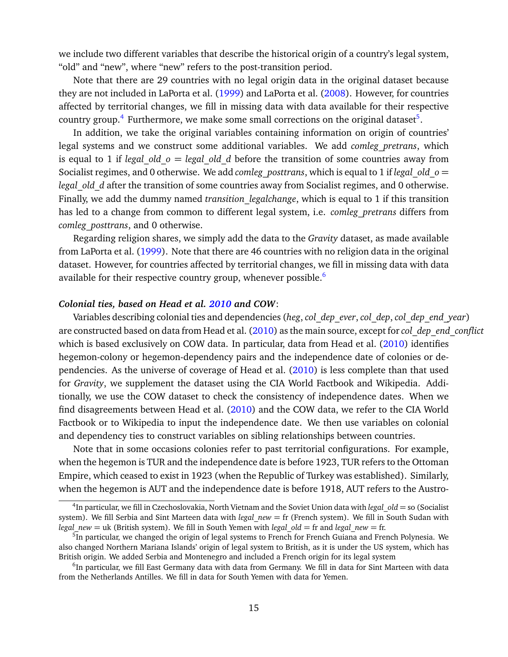we include two different variables that describe the historical origin of a country's legal system, "old" and "new", where "new" refers to the post-transition period.

Note that there are 29 countries with no legal origin data in the original dataset because they are not included in LaPorta et al. [\(1999\)](#page-30-2) and LaPorta et al. [\(2008\)](#page-30-3). However, for countries affected by territorial changes, we fill in missing data with data available for their respective country group.<sup>[4](#page-15-0)</sup> Furthermore, we make some small corrections on the original dataset<sup>[5](#page-15-1)</sup>.

In addition, we take the original variables containing information on origin of countries' legal systems and we construct some additional variables. We add *comleg\_pretrans*, which is equal to 1 if *legal* old  $o = legal$  old d before the transition of some countries away from Socialist regimes, and 0 otherwise. We add *comleg\_posttrans*, which is equal to 1 if *legal\_old\_o* = *legal\_old\_d* after the transition of some countries away from Socialist regimes, and 0 otherwise. Finally, we add the dummy named *transition\_legalchange*, which is equal to 1 if this transition has led to a change from common to different legal system, i.e. *comleg\_pretrans* differs from *comleg\_posttrans*, and 0 otherwise.

Regarding religion shares, we simply add the data to the *Gravity* dataset, as made available from LaPorta et al. [\(1999\)](#page-30-2). Note that there are 46 countries with no religion data in the original dataset. However, for countries affected by territorial changes, we fill in missing data with data available for their respective country group, whenever possible.<sup>[6](#page-15-2)</sup>

#### *Colonial ties, based on Head et al. [2010](#page-30-4) and COW*:

Variables describing colonial ties and dependencies (*heg*, *col\_dep\_ever*, *col\_dep*, *col\_dep\_end\_year*) are constructed based on data from Head et al. [\(2010\)](#page-30-4) as the main source, except for*col\_dep\_end\_conflict* which is based exclusively on COW data. In particular, data from Head et al. [\(2010\)](#page-30-4) identifies hegemon-colony or hegemon-dependency pairs and the independence date of colonies or dependencies. As the universe of coverage of Head et al. [\(2010\)](#page-30-4) is less complete than that used for *Gravity*, we supplement the dataset using the CIA World Factbook and Wikipedia. Additionally, we use the COW dataset to check the consistency of independence dates. When we find disagreements between Head et al. [\(2010\)](#page-30-4) and the COW data, we refer to the CIA World Factbook or to Wikipedia to input the independence date. We then use variables on colonial and dependency ties to construct variables on sibling relationships between countries.

Note that in some occasions colonies refer to past territorial configurations. For example, when the hegemon is TUR and the independence date is before 1923, TUR refers to the Ottoman Empire, which ceased to exist in 1923 (when the Republic of Turkey was established). Similarly, when the hegemon is AUT and the independence date is before 1918, AUT refers to the Austro-

<span id="page-15-0"></span><sup>4</sup> In particular, we fill in Czechoslovakia, North Vietnam and the Soviet Union data with *legal\_old* = so (Socialist system). We fill Serbia and Sint Marteen data with *legal new* = fr (French system). We fill in South Sudan with *legal*  $new = uk$  (British system). We fill in South Yemen with *legal*  $old = fr$  and *legal*  $new = fr$ .

<span id="page-15-1"></span><sup>&</sup>lt;sup>5</sup>In particular, we changed the origin of legal systems to French for French Guiana and French Polynesia. We also changed Northern Mariana Islands' origin of legal system to British, as it is under the US system, which has British origin. We added Serbia and Montenegro and included a French origin for its legal system

<span id="page-15-2"></span><sup>&</sup>lt;sup>6</sup>In particular, we fill East Germany data with data from Germany. We fill in data for Sint Marteen with data from the Netherlands Antilles. We fill in data for South Yemen with data for Yemen.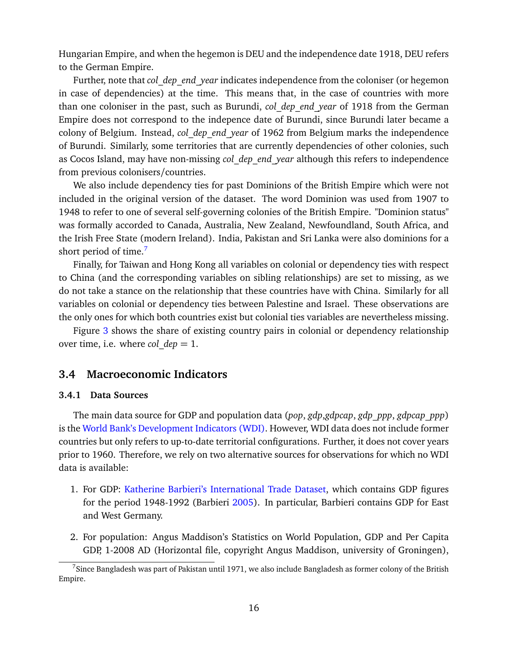Hungarian Empire, and when the hegemon is DEU and the independence date 1918, DEU refers to the German Empire.

Further, note that *col\_dep\_end\_year* indicates independence from the coloniser (or hegemon in case of dependencies) at the time. This means that, in the case of countries with more than one coloniser in the past, such as Burundi, *col\_dep\_end\_year* of 1918 from the German Empire does not correspond to the indepence date of Burundi, since Burundi later became a colony of Belgium. Instead, *col\_dep\_end\_year* of 1962 from Belgium marks the independence of Burundi. Similarly, some territories that are currently dependencies of other colonies, such as Cocos Island, may have non-missing *col\_dep\_end\_year* although this refers to independence from previous colonisers/countries.

We also include dependency ties for past Dominions of the British Empire which were not included in the original version of the dataset. The word Dominion was used from 1907 to 1948 to refer to one of several self-governing colonies of the British Empire. "Dominion status" was formally accorded to Canada, Australia, New Zealand, Newfoundland, South Africa, and the Irish Free State (modern Ireland). India, Pakistan and Sri Lanka were also dominions for a short period of time.<sup>[7](#page-16-2)</sup>

Finally, for Taiwan and Hong Kong all variables on colonial or dependency ties with respect to China (and the corresponding variables on sibling relationships) are set to missing, as we do not take a stance on the relationship that these countries have with China. Similarly for all variables on colonial or dependency ties between Palestine and Israel. These observations are the only ones for which both countries exist but colonial ties variables are nevertheless missing.

Figure [3](#page-17-1) shows the share of existing country pairs in colonial or dependency relationship over time, i.e. where *col*  $dep = 1$ .

# <span id="page-16-0"></span>**3.4 Macroeconomic Indicators**

## <span id="page-16-1"></span>**3.4.1 Data Sources**

The main data source for GDP and population data (*pop*, *gdp*,*gdpcap*, *gdp\_ppp*, *gdpcap\_ppp*) is the [World Bank's Development Indicators \(WDI\).](https://datacatalog.worldbank.org/dataset/world-development-indicators) However, WDI data does not include former countries but only refers to up-to-date territorial configurations. Further, it does not cover years prior to 1960. Therefore, we rely on two alternative sources for observations for which no WDI data is available:

- 1. For GDP: [Katherine Barbieri's International Trade Dataset,](https://people.cas.sc.edu/barbierk/databases.html) which contains GDP figures for the period 1948-1992 (Barbieri [2005\)](#page-30-7). In particular, Barbieri contains GDP for East and West Germany.
- 2. For population: Angus Maddison's Statistics on World Population, GDP and Per Capita GDP, 1-2008 AD (Horizontal file, copyright Angus Maddison, university of Groningen),

<span id="page-16-2"></span><sup>&</sup>lt;sup>7</sup>Since Bangladesh was part of Pakistan until 1971, we also include Bangladesh as former colony of the British Empire.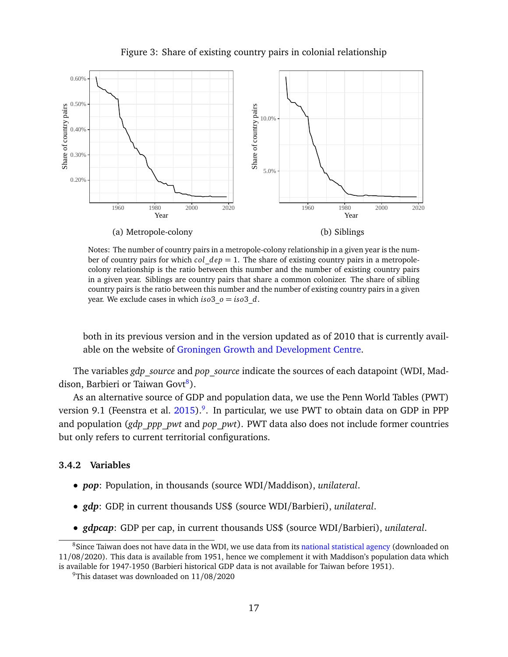<span id="page-17-1"></span>

Figure 3: Share of existing country pairs in colonial relationship

Notes: The number of country pairs in a metropole-colony relationship in a given year is the number of country pairs for which *col*\_*dep* = 1. The share of existing country pairs in a metropolecolony relationship is the ratio between this number and the number of existing country pairs in a given year. Siblings are country pairs that share a common colonizer. The share of sibling country pairs is the ratio between this number and the number of existing country pairs in a given year. We exclude cases in which  $iso3 \, o = iso3 \, d$ .

both in its previous version and in the version updated as of 2010 that is currently available on the website of [Groningen Growth and Development Centre.](https://www.rug.nl/ggdc/historicaldevelopment/maddison/)

The variables *gdp\_source* and *pop\_source* indicate the sources of each datapoint (WDI, Mad-dison, Barbieri or Taiwan Govt<sup>[8](#page-17-2)</sup>).

As an alternative source of GDP and population data, we use the Penn World Tables (PWT) version 9.1 (Feenstra et al. [2015\)](#page-30-8).<sup>[9](#page-17-3)</sup>. In particular, we use PWT to obtain data on GDP in PPP and population (*gdp\_ppp\_pwt* and *pop\_pwt*). PWT data also does not include former countries but only refers to current territorial configurations.

## <span id="page-17-0"></span>**3.4.2 Variables**

- *pop*: Population, in thousands (source WDI/Maddison), *unilateral*.
- *gdp*: GDP, in current thousands US\$ (source WDI/Barbieri), *unilateral*.
- <span id="page-17-2"></span>• *gdpcap*: GDP per cap, in current thousands US\$ (source WDI/Barbieri), *unilateral*.

<sup>&</sup>lt;sup>8</sup>Since Taiwan does not have data in the WDI, we use data from its [national statistical agency](http://statdb.dgbas.gov.tw/pxweb/dialog/statfile1L.asp) (downloaded on 11/08/2020). This data is available from 1951, hence we complement it with Maddison's population data which is available for 1947-1950 (Barbieri historical GDP data is not available for Taiwan before 1951).

<span id="page-17-3"></span><sup>&</sup>lt;sup>9</sup>This dataset was downloaded on  $11/08/2020$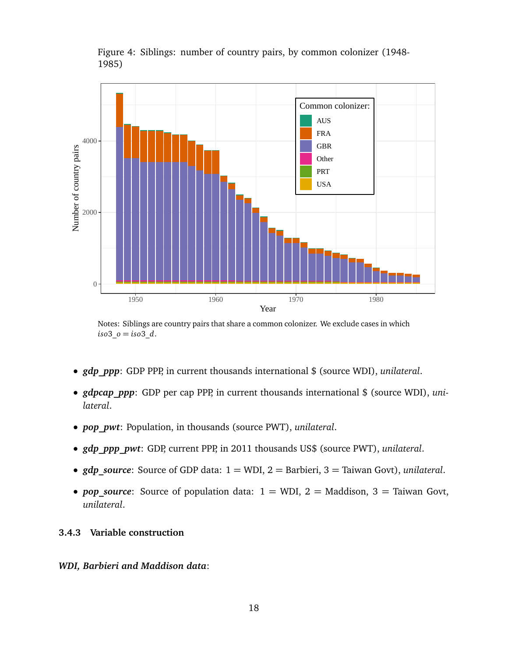

Figure 4: Siblings: number of country pairs, by common colonizer (1948- 1985)

Notes: Siblings are country pairs that share a common colonizer. We exclude cases in which *iso*3\_*o* = *iso*3\_*d*.

- *gdp\_ppp*: GDP PPP, in current thousands international \$ (source WDI), *unilateral*.
- *gdpcap ppp*: GDP per cap PPP, in current thousands international \$ (source WDI), *unilateral*.
- *pop\_pwt*: Population, in thousands (source PWT), *unilateral*.
- *gdp\_ppp\_pwt*: GDP, current PPP, in 2011 thousands US\$ (source PWT), *unilateral*.
- *gdp\_source*: Source of GDP data: 1 = WDI, 2 = Barbieri, 3 = Taiwan Govt), *unilateral*.
- *pop source*: Source of population data:  $1 = WDI$ ,  $2 =$  Maddison,  $3 =$  Taiwan Govt, *unilateral*.

### <span id="page-18-0"></span>**3.4.3 Variable construction**

## *WDI, Barbieri and Maddison data*: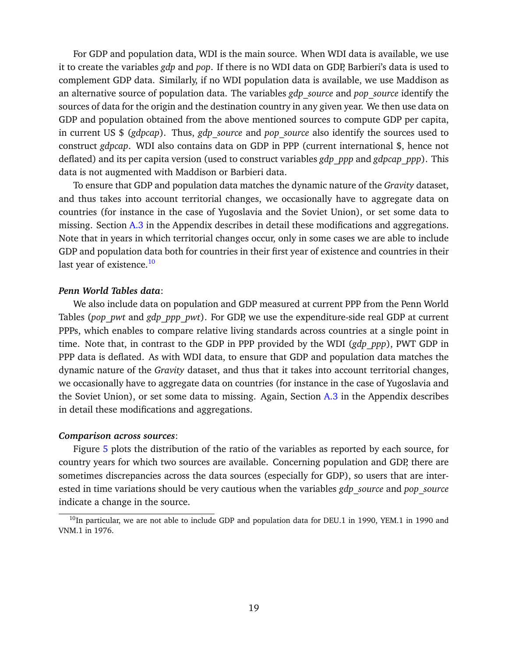For GDP and population data, WDI is the main source. When WDI data is available, we use it to create the variables *gdp* and *pop*. If there is no WDI data on GDP, Barbieri's data is used to complement GDP data. Similarly, if no WDI population data is available, we use Maddison as an alternative source of population data. The variables *gdp\_source* and *pop\_source* identify the sources of data for the origin and the destination country in any given year. We then use data on GDP and population obtained from the above mentioned sources to compute GDP per capita, in current US \$ (*gdpcap*). Thus, *gdp\_source* and *pop\_source* also identify the sources used to construct *gdpcap*. WDI also contains data on GDP in PPP (current international \$, hence not deflated) and its per capita version (used to construct variables *gdp\_ppp* and *gdpcap\_ppp*). This data is not augmented with Maddison or Barbieri data.

To ensure that GDP and population data matches the dynamic nature of the *Gravity* dataset, and thus takes into account territorial changes, we occasionally have to aggregate data on countries (for instance in the case of Yugoslavia and the Soviet Union), or set some data to missing. Section [A.3](#page-33-1) in the Appendix describes in detail these modifications and aggregations. Note that in years in which territorial changes occur, only in some cases we are able to include GDP and population data both for countries in their first year of existence and countries in their last year of existence.<sup>[10](#page-19-0)</sup>

#### *Penn World Tables data*:

We also include data on population and GDP measured at current PPP from the Penn World Tables (*pop\_pwt* and *gdp\_ppp\_pwt*). For GDP, we use the expenditure-side real GDP at current PPPs, which enables to compare relative living standards across countries at a single point in time. Note that, in contrast to the GDP in PPP provided by the WDI (*gdp\_ppp*), PWT GDP in PPP data is deflated. As with WDI data, to ensure that GDP and population data matches the dynamic nature of the *Gravity* dataset, and thus that it takes into account territorial changes, we occasionally have to aggregate data on countries (for instance in the case of Yugoslavia and the Soviet Union), or set some data to missing. Again, Section  $A.3$  in the Appendix describes in detail these modifications and aggregations.

#### *Comparison across sources*:

Figure [5](#page-20-3) plots the distribution of the ratio of the variables as reported by each source, for country years for which two sources are available. Concerning population and GDP, there are sometimes discrepancies across the data sources (especially for GDP), so users that are interested in time variations should be very cautious when the variables *gdp\_source* and *pop\_source* indicate a change in the source.

<span id="page-19-0"></span> $10$ In particular, we are not able to include GDP and population data for DEU.1 in 1990, YEM.1 in 1990 and VNM.1 in 1976.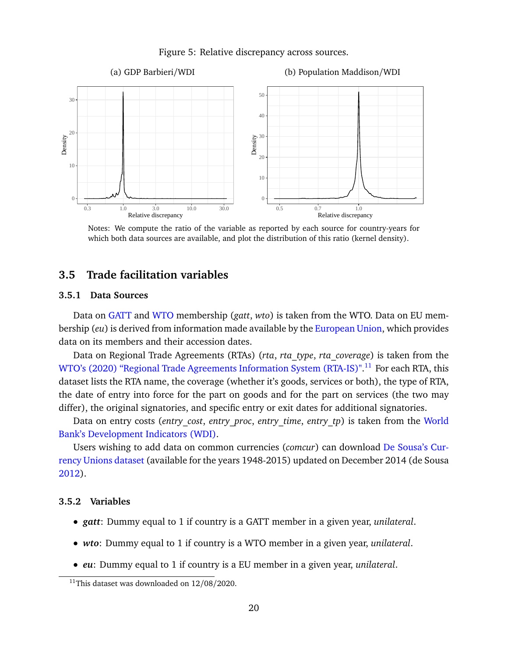Figure 5: Relative discrepancy across sources.

<span id="page-20-3"></span>

Notes: We compute the ratio of the variable as reported by each source for country-years for which both data sources are available, and plot the distribution of this ratio (kernel density).

## <span id="page-20-0"></span>**3.5 Trade facilitation variables**

#### <span id="page-20-1"></span>**3.5.1 Data Sources**

Data on [GATT](https://www.wto.org/english/thewto_e/gattmem_e.htm) and [WTO](https://www.wto.org/english/thewto_e/whatis_e/tif_e/org6_e.htm) membership (*gatt*, *wto*) is taken from the WTO. Data on EU membership (*eu*) is derived from information made available by the [European Union,](https://europa.eu/european-union/about-eu/countries_en#tab-0-1) which provides data on its members and their accession dates.

Data on Regional Trade Agreements (RTAs) (*rta*, *rta\_type*, *rta\_coverage*) is taken from the [WTO's \(2020\) "Regional Trade Agreements Information System \(RTA-IS\)".](http://rtais.wto.org/UI/PublicMaintainRTAHome.aspx)<sup>[11](#page-20-4)</sup> For each RTA, this dataset lists the RTA name, the coverage (whether it's goods, services or both), the type of RTA, the date of entry into force for the part on goods and for the part on services (the two may differ), the original signatories, and specific entry or exit dates for additional signatories.

Data on entry costs (*entry\_cost*, *entry\_proc*, *entry\_time*, *entry\_tp*) is taken from the [World](https://databank.worldbank.org/source/world-development-indicators) [Bank's Development Indicators \(WDI\).](https://databank.worldbank.org/source/world-development-indicators)

Users wishing to add data on common currencies (*comcur*) can download [De Sousa's Cur](http://jdesousa.univ.free.fr/data.htm)[rency Unions dataset](http://jdesousa.univ.free.fr/data.htm) (available for the years 1948-2015) updated on December 2014 (de Sousa [2012\)](#page-30-9).

#### <span id="page-20-2"></span>**3.5.2 Variables**

- *gatt*: Dummy equal to 1 if country is a GATT member in a given year, *unilateral*.
- *wto*: Dummy equal to 1 if country is a WTO member in a given year, *unilateral*.
- *eu*: Dummy equal to 1 if country is a EU member in a given year, *unilateral*.

<span id="page-20-4"></span><sup>&</sup>lt;sup>11</sup>This dataset was downloaded on  $12/08/2020$ .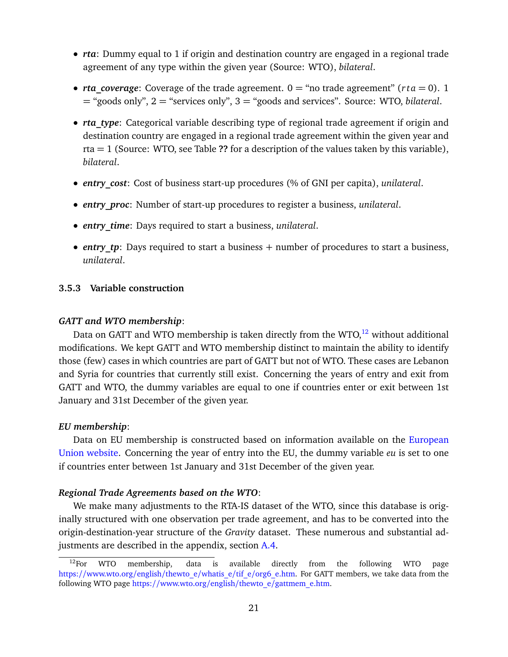- *rta*: Dummy equal to 1 if origin and destination country are engaged in a regional trade agreement of any type within the given year (Source: WTO), *bilateral*.
- *rta* coverage: Coverage of the trade agreement.  $0 =$  "no trade agreement" (*r ta* = 0). 1 = "goods only", 2 = "services only", 3 = "goods and services". Source: WTO, *bilateral*.
- *rta type*: Categorical variable describing type of regional trade agreement if origin and destination country are engaged in a regional trade agreement within the given year and rta = 1 (Source: WTO, see Table **??** for a description of the values taken by this variable), *bilateral*.
- *entry\_cost*: Cost of business start-up procedures (% of GNI per capita), *unilateral*.
- *entry\_proc*: Number of start-up procedures to register a business, *unilateral*.
- *entry\_time*: Days required to start a business, *unilateral*.
- *entry tp*: Days required to start a business + number of procedures to start a business, *unilateral*.

## <span id="page-21-0"></span>**3.5.3 Variable construction**

#### *GATT and WTO membership*:

Data on GATT and WTO membership is taken directly from the WTO, $^{12}$  $^{12}$  $^{12}$  without additional modifications. We kept GATT and WTO membership distinct to maintain the ability to identify those (few) cases in which countries are part of GATT but not of WTO. These cases are Lebanon and Syria for countries that currently still exist. Concerning the years of entry and exit from GATT and WTO, the dummy variables are equal to one if countries enter or exit between 1st January and 31st December of the given year.

#### *EU membership*:

Data on EU membership is constructed based on information available on the [European](https://europa.eu/european-union/about-eu/countries_en#tab-0-1) [Union website.](https://europa.eu/european-union/about-eu/countries_en#tab-0-1) Concerning the year of entry into the EU, the dummy variable *eu* is set to one if countries enter between 1st January and 31st December of the given year.

#### *Regional Trade Agreements based on the WTO*:

We make many adjustments to the RTA-IS dataset of the WTO, since this database is originally structured with one observation per trade agreement, and has to be converted into the origin-destination-year structure of the *Gravity* dataset. These numerous and substantial adjustments are described in the appendix, section [A.4.](#page-37-0)

<span id="page-21-1"></span> $12$ For WTO membership, data is available directly from the following WTO page https://[www.wto.org](https://www.wto.org/english/thewto_e/whatis_e/tif_e/org6_e.htm)/english/thewto\_e/whatis\_e/tif\_e/org6\_e.htm. For GATT members, we take data from the following WTO page https://www.wto.org/english/thewto\_e/[gattmem\\_e.htm.](https://www.wto.org/english/thewto_e/gattmem_e.htm)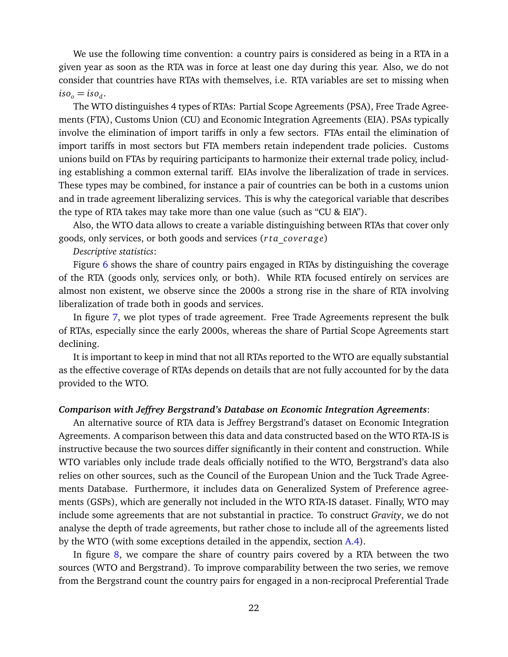We use the following time convention: a country pairs is considered as being in a RTA in a given year as soon as the RTA was in force at least one day during this year. Also, we do not consider that countries have RTAs with themselves, i.e. RTA variables are set to missing when  $iso_o = iso_d$ .

The WTO distinguishes 4 types of RTAs: Partial Scope Agreements (PSA), Free Trade Agreements (FTA), Customs Union (CU) and Economic Integration Agreements (EIA). PSAs typically involve the elimination of import tariffs in only a few sectors. FTAs entail the elimination of import tariffs in most sectors but FTA members retain independent trade policies. Customs unions build on FTAs by requiring participants to harmonize their external trade policy, including establishing a common external tariff. EIAs involve the liberalization of trade in services. These types may be combined, for instance a pair of countries can be both in a customs union and in trade agreement liberalizing services. This is why the categorical variable that describes the type of RTA takes may take more than one value (such as "CU & EIA").

Also, the WTO data allows to create a variable distinguishing between RTAs that cover only goods, only services, or both goods and services (*r ta*\_*coverage*)

*Descriptive statistics*:

Figure [6](#page-23-2) shows the share of country pairs engaged in RTAs by distinguishing the coverage of the RTA (goods only, services only, or both). While RTA focused entirely on services are almost non existent, we observe since the 2000s a strong rise in the share of RTA involving liberalization of trade both in goods and services.

In figure [7,](#page-24-1) we plot types of trade agreement. Free Trade Agreements represent the bulk of RTAs, especially since the early 2000s, whereas the share of Partial Scope Agreements start declining.

It is important to keep in mind that not all RTAs reported to the WTO are equally substantial as the effective coverage of RTAs depends on details that are not fully accounted for by the data provided to the WTO.

### *Comparison with Jeffrey Bergstrand's Database on Economic Integration Agreements*:

An alternative source of RTA data is Jeffrey Bergstrand's dataset on Economic Integration Agreements. A comparison between this data and data constructed based on the WTO RTA-IS is instructive because the two sources differ significantly in their content and construction. While WTO variables only include trade deals officially notified to the WTO, Bergstrand's data also relies on other sources, such as the Council of the European Union and the Tuck Trade Agreements Database. Furthermore, it includes data on Generalized System of Preference agreements (GSPs), which are generally not included in the WTO RTA-IS dataset. Finally, WTO may include some agreements that are not substantial in practice. To construct *Gravity*, we do not analyse the depth of trade agreements, but rather chose to include all of the agreements listed by the WTO (with some exceptions detailed in the appendix, section [A.4\)](#page-37-0).

In figure  $8$ , we compare the share of country pairs covered by a RTA between the two sources (WTO and Bergstrand). To improve comparability between the two series, we remove from the Bergstrand count the country pairs for engaged in a non-reciprocal Preferential Trade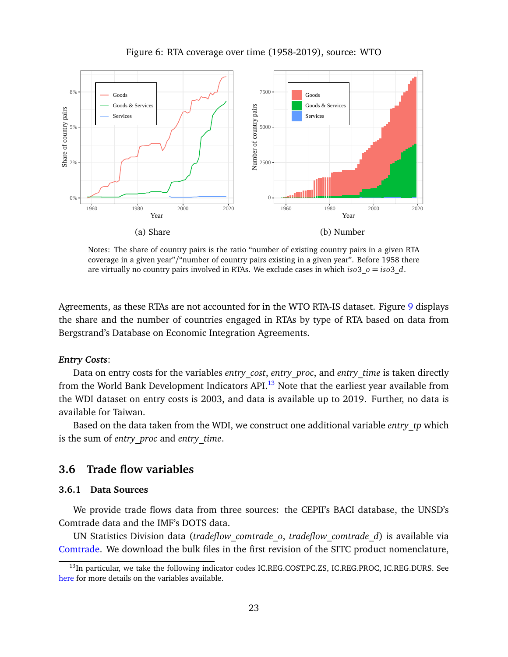<span id="page-23-2"></span>

Figure 6: RTA coverage over time (1958-2019), source: WTO

Notes: The share of country pairs is the ratio "number of existing country pairs in a given RTA coverage in a given year"/"number of country pairs existing in a given year". Before 1958 there are virtually no country pairs involved in RTAs. We exclude cases in which *iso*3\_*o* = *iso*3\_*d*.

Agreements, as these RTAs are not accounted for in the WTO RTA-IS dataset. Figure [9](#page-26-0) displays the share and the number of countries engaged in RTAs by type of RTA based on data from Bergstrand's Database on Economic Integration Agreements.

#### *Entry Costs*:

Data on entry costs for the variables *entry\_cost*, *entry\_proc*, and *entry\_time* is taken directly from the World Bank Development Indicators API $^{13}$  $^{13}$  $^{13}$  Note that the earliest year available from the WDI dataset on entry costs is 2003, and data is available up to 2019. Further, no data is available for Taiwan.

Based on the data taken from the WDI, we construct one additional variable *entry\_tp* which is the sum of *entry\_proc* and *entry\_time*.

## <span id="page-23-0"></span>**3.6 Trade flow variables**

### <span id="page-23-1"></span>**3.6.1 Data Sources**

We provide trade flows data from three sources: the CEPII's BACI database, the UNSD's Comtrade data and the IMF's DOTS data.

UN Statistics Division data (*tradeflow\_comtrade\_o*, *tradeflow\_comtrade\_d*) is available via [Comtrade.](https://comtrade.un.org/) We download the bulk files in the first revision of the SITC product nomenclature,

<span id="page-23-3"></span><sup>&</sup>lt;sup>13</sup>In particular, we take the following indicator codes IC.REG.COST.PC.ZS, IC.REG.PROC, IC.REG.DURS. See [here](http://datatopics.worldbank.org/world-development-indicators/) for more details on the variables available.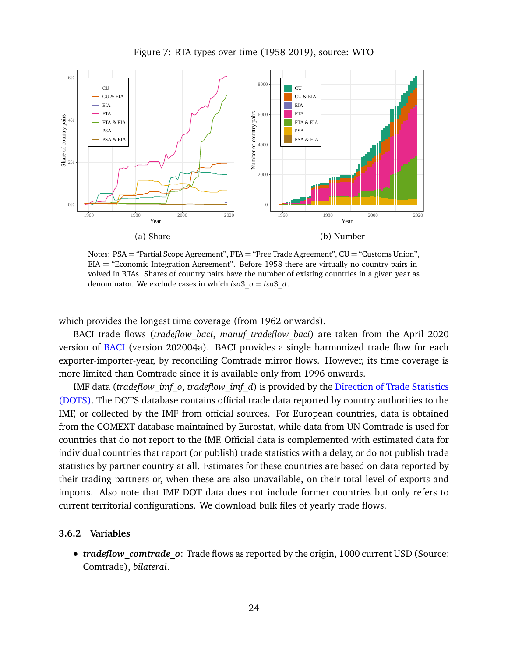<span id="page-24-1"></span>

Figure 7: RTA types over time (1958-2019), source: WTO

Notes: PSA = "Partial Scope Agreement", FTA = "Free Trade Agreement", CU = "Customs Union", EIA = "Economic Integration Agreement". Before 1958 there are virtually no country pairs involved in RTAs. Shares of country pairs have the number of existing countries in a given year as denominator. We exclude cases in which *iso*3\_*o* = *iso*3\_*d*.

which provides the longest time coverage (from 1962 onwards).

BACI trade flows (*tradeflow\_baci*, *manuf\_tradeflow\_baci*) are taken from the April 2020 version of [BACI](http://www.cepii.fr/CEPII/en/bdd_modele/presentation.asp?id=37) (version 202004a). BACI provides a single harmonized trade flow for each exporter-importer-year, by reconciling Comtrade mirror flows. However, its time coverage is more limited than Comtrade since it is available only from 1996 onwards.

IMF data (*tradeflow\_imf\_o*, *tradeflow\_imf\_d*) is provided by the [Direction of Trade Statistics](https://data.imf.org/?sk=9D6028D4-F14A-464C-A2F2-59B2CD424B85) [\(DOTS\).](https://data.imf.org/?sk=9D6028D4-F14A-464C-A2F2-59B2CD424B85) The DOTS database contains official trade data reported by country authorities to the IMF, or collected by the IMF from official sources. For European countries, data is obtained from the COMEXT database maintained by Eurostat, while data from UN Comtrade is used for countries that do not report to the IMF. Official data is complemented with estimated data for individual countries that report (or publish) trade statistics with a delay, or do not publish trade statistics by partner country at all. Estimates for these countries are based on data reported by their trading partners or, when these are also unavailable, on their total level of exports and imports. Also note that IMF DOT data does not include former countries but only refers to current territorial configurations. We download bulk files of yearly trade flows.

#### <span id="page-24-0"></span>**3.6.2 Variables**

• *tradeflow comtrade o*: Trade flows as reported by the origin, 1000 current USD (Source: Comtrade), *bilateral*.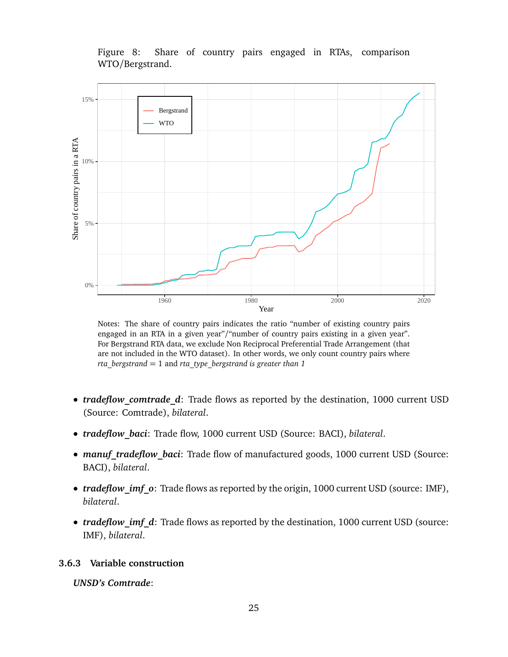Figure 8: Share of country pairs engaged in RTAs, comparison WTO/Bergstrand.

<span id="page-25-1"></span>

Notes: The share of country pairs indicates the ratio "number of existing country pairs engaged in an RTA in a given year"/"number of country pairs existing in a given year". For Bergstrand RTA data, we exclude Non Reciprocal Preferential Trade Arrangement (that are not included in the WTO dataset). In other words, we only count country pairs where *rta\_bergstrand* = 1 and *rta\_type\_bergstrand is greater than 1*

- *tradeflow comtrade d*: Trade flows as reported by the destination, 1000 current USD (Source: Comtrade), *bilateral*.
- *tradeflow\_baci*: Trade flow, 1000 current USD (Source: BACI), *bilateral*.
- *manuf tradeflow baci*: Trade flow of manufactured goods, 1000 current USD (Source: BACI), *bilateral*.
- *tradeflow imf* o: Trade flows as reported by the origin, 1000 current USD (source: IMF), *bilateral*.
- *tradeflow\_imf\_d*: Trade flows as reported by the destination, 1000 current USD (source: IMF), *bilateral*.

## <span id="page-25-0"></span>**3.6.3 Variable construction**

*UNSD's Comtrade*: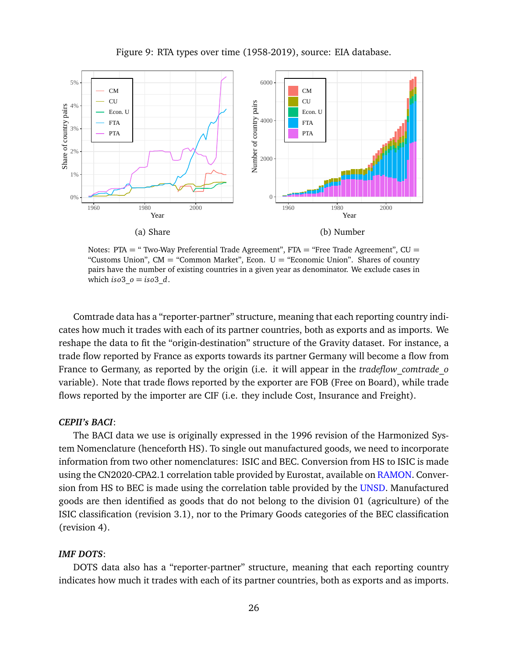<span id="page-26-0"></span>

Figure 9: RTA types over time (1958-2019), source: EIA database.

Notes: PTA = " Two-Way Preferential Trade Agreement", FTA = "Free Trade Agreement",  $CU =$ "Customs Union",  $CM =$  "Common Market", Econ.  $U =$  "Economic Union". Shares of country pairs have the number of existing countries in a given year as denominator. We exclude cases in which *iso*3  $o = iso3$  *d*.

Comtrade data has a "reporter-partner" structure, meaning that each reporting country indicates how much it trades with each of its partner countries, both as exports and as imports. We reshape the data to fit the "origin-destination" structure of the Gravity dataset. For instance, a trade flow reported by France as exports towards its partner Germany will become a flow from France to Germany, as reported by the origin (i.e. it will appear in the *tradeflow\_comtrade\_o* variable). Note that trade flows reported by the exporter are FOB (Free on Board), while trade flows reported by the importer are CIF (i.e. they include Cost, Insurance and Freight).

#### *CEPII's BACI*:

The BACI data we use is originally expressed in the 1996 revision of the Harmonized System Nomenclature (henceforth HS). To single out manufactured goods, we need to incorporate information from two other nomenclatures: ISIC and BEC. Conversion from HS to ISIC is made using the CN2020-CPA2.1 correlation table provided by Eurostat, available on [RAMON.](https://ec.europa.eu/eurostat/ramon/relations/index.cfm?TargetUrl=ACT_REL_DELIMITER&StrNomRelCode=CN%202020%20-%20CPA%202.1&StrLanguageCode=EN&StrFormat=CSV. ) Conversion from HS to BEC is made using the correlation table provided by the [UNSD.](https://unstats.un.org/unsd/trade/classifications/correspondence-tables.asp) Manufactured goods are then identified as goods that do not belong to the division 01 (agriculture) of the ISIC classification (revision 3.1), nor to the Primary Goods categories of the BEC classification (revision 4).

#### *IMF DOTS*:

DOTS data also has a "reporter-partner" structure, meaning that each reporting country indicates how much it trades with each of its partner countries, both as exports and as imports.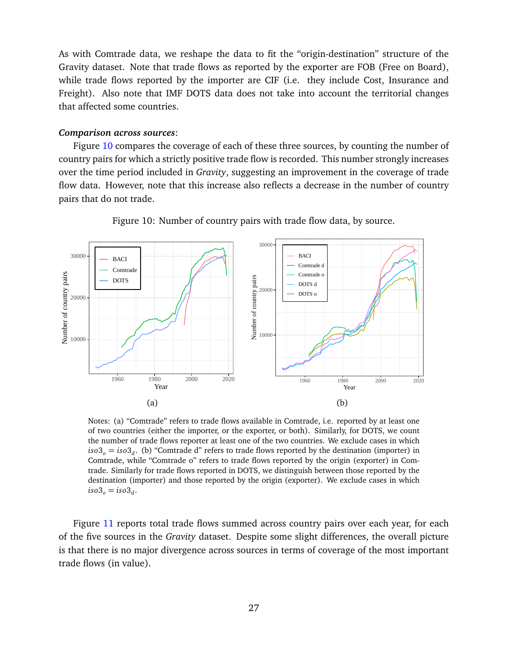As with Comtrade data, we reshape the data to fit the "origin-destination" structure of the Gravity dataset. Note that trade flows as reported by the exporter are FOB (Free on Board), while trade flows reported by the importer are CIF (i.e. they include Cost, Insurance and Freight). Also note that IMF DOTS data does not take into account the territorial changes that affected some countries.

#### *Comparison across sources*:

Figure [10](#page-27-0) compares the coverage of each of these three sources, by counting the number of country pairs for which a strictly positive trade flow is recorded. This number strongly increases over the time period included in *Gravity*, suggesting an improvement in the coverage of trade flow data. However, note that this increase also reflects a decrease in the number of country pairs that do not trade.

<span id="page-27-0"></span>

Figure 10: Number of country pairs with trade flow data, by source.

Notes: (a) "Comtrade" refers to trade flows available in Comtrade, i.e. reported by at least one of two countries (either the importer, or the exporter, or both). Similarly, for DOTS, we count the number of trade flows reporter at least one of the two countries. We exclude cases in which *iso*3<sub>*o*</sub> = *iso*3<sub>*d*</sub>. (b) "Comtrade d" refers to trade flows reported by the destination (importer) in Comtrade, while "Comtrade o" refers to trade flows reported by the origin (exporter) in Comtrade. Similarly for trade flows reported in DOTS, we distinguish between those reported by the destination (importer) and those reported by the origin (exporter). We exclude cases in which  $iso3_o = iso3_d$ .

Figure [11](#page-28-0) reports total trade flows summed across country pairs over each year, for each of the five sources in the *Gravity* dataset. Despite some slight differences, the overall picture is that there is no major divergence across sources in terms of coverage of the most important trade flows (in value).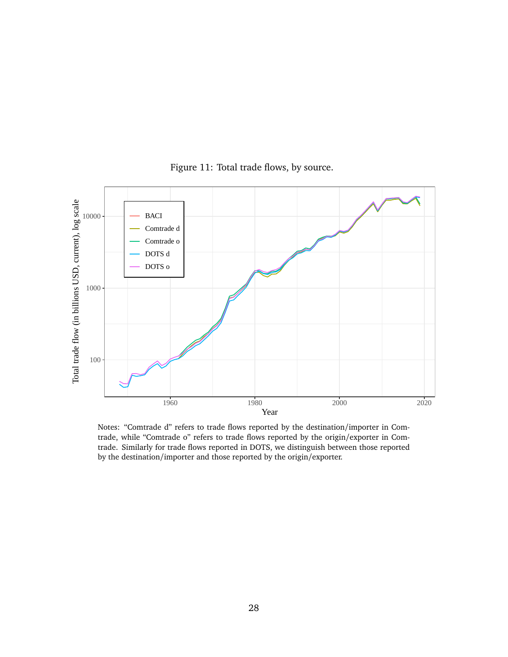<span id="page-28-0"></span>

Figure 11: Total trade flows, by source.

Notes: "Comtrade d" refers to trade flows reported by the destination/importer in Comtrade, while "Comtrade o" refers to trade flows reported by the origin/exporter in Comtrade. Similarly for trade flows reported in DOTS, we distinguish between those reported by the destination/importer and those reported by the origin/exporter.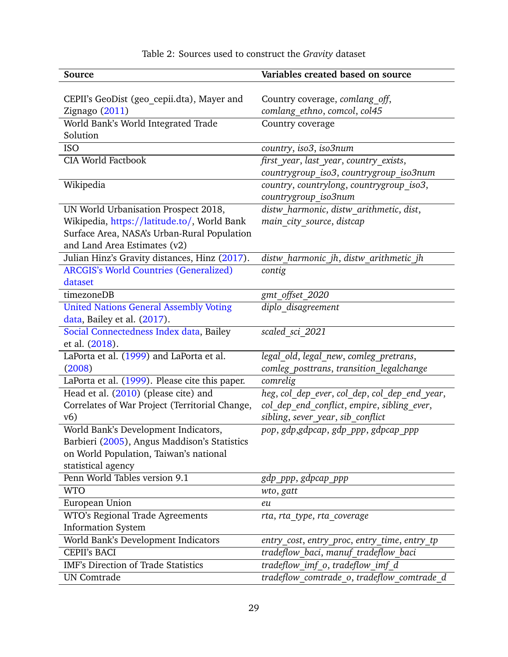<span id="page-29-0"></span>

| Source                                         | Variables created based on source             |  |  |  |
|------------------------------------------------|-----------------------------------------------|--|--|--|
|                                                |                                               |  |  |  |
| CEPII's GeoDist (geo_cepii.dta), Mayer and     | Country coverage, comlang off,                |  |  |  |
| Zignago (2011)                                 | comlang_ethno, comcol, col45                  |  |  |  |
| World Bank's World Integrated Trade            | Country coverage                              |  |  |  |
| Solution                                       |                                               |  |  |  |
| <b>ISO</b>                                     | country, iso3, iso3num                        |  |  |  |
| <b>CIA World Factbook</b>                      | first year, last year, country exists,        |  |  |  |
|                                                | countrygroup iso3, countrygroup iso3num       |  |  |  |
| Wikipedia                                      | country, countrylong, countrygroup iso3,      |  |  |  |
|                                                | countrygroup_iso3num                          |  |  |  |
| UN World Urbanisation Prospect 2018,           | distw harmonic, distw arithmetic, dist,       |  |  |  |
| Wikipedia, https://latitude.to/, World Bank    | main city source, distcap                     |  |  |  |
| Surface Area, NASA's Urban-Rural Population    |                                               |  |  |  |
| and Land Area Estimates (v2)                   |                                               |  |  |  |
| Julian Hinz's Gravity distances, Hinz (2017).  | distw harmonic jh, distw arithmetic jh        |  |  |  |
| <b>ARCGIS's World Countries (Generalized)</b>  | contig                                        |  |  |  |
| dataset                                        |                                               |  |  |  |
| timezoneDB                                     | gmt_offset_2020                               |  |  |  |
| <b>United Nations General Assembly Voting</b>  | diplo disagreement                            |  |  |  |
| data, Bailey et al. (2017).                    |                                               |  |  |  |
| Social Connectedness Index data, Bailey        | scaled sci 2021                               |  |  |  |
| et al. (2018).                                 |                                               |  |  |  |
| LaPorta et al. (1999) and LaPorta et al.       | legal old, legal new, comleg pretrans,        |  |  |  |
| (2008)                                         | comleg_posttrans, transition_legalchange      |  |  |  |
| LaPorta et al. (1999). Please cite this paper. | comrelig                                      |  |  |  |
| Head et al. (2010) (please cite) and           | heg, col_dep_ever, col_dep, col_dep_end_year, |  |  |  |
| Correlates of War Project (Territorial Change, | col_dep_end_conflict, empire, sibling_ever,   |  |  |  |
| v(6)                                           | sibling, sever_year, sib_conflict             |  |  |  |
| World Bank's Development Indicators,           | pop, gdp, gdpcap, gdp_ppp, gdpcap_ppp         |  |  |  |
| Barbieri (2005), Angus Maddison's Statistics   |                                               |  |  |  |
| on World Population, Taiwan's national         |                                               |  |  |  |
| statistical agency                             |                                               |  |  |  |
| Penn World Tables version 9.1                  | gdp_ppp, gdpcap_ppp                           |  |  |  |
| <b>WTO</b>                                     | wto, gatt                                     |  |  |  |
| European Union                                 | eu                                            |  |  |  |
| WTO's Regional Trade Agreements                | rta, rta type, rta coverage                   |  |  |  |
| <b>Information System</b>                      |                                               |  |  |  |
| World Bank's Development Indicators            | entry_cost, entry_proc, entry_time, entry_tp  |  |  |  |
| <b>CEPII's BACI</b>                            | tradeflow_baci, manuf_tradeflow_baci          |  |  |  |
| IMF's Direction of Trade Statistics            | tradeflow_imf_o, tradeflow imf d              |  |  |  |
| <b>UN</b> Comtrade                             | tradeflow_comtrade_o, tradeflow_comtrade_d    |  |  |  |

# Table 2: Sources used to construct the *Gravity* dataset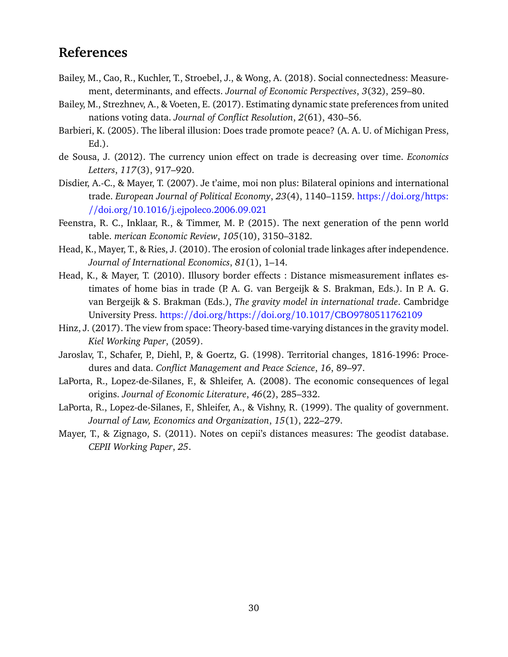# **References**

- <span id="page-30-12"></span>Bailey, M., Cao, R., Kuchler, T., Stroebel, J., & Wong, A. (2018). Social connectedness: Measurement, determinants, and effects. *Journal of Economic Perspectives*, *3*(32), 259–80.
- <span id="page-30-11"></span>Bailey, M., Strezhnev, A., & Voeten, E. (2017). Estimating dynamic state preferences from united nations voting data. *Journal of Conflict Resolution*, *2*(61), 430–56.
- <span id="page-30-7"></span>Barbieri, K. (2005). The liberal illusion: Does trade promote peace? (A. A. U. of Michigan Press, Ed.).
- <span id="page-30-9"></span>de Sousa, J. (2012). The currency union effect on trade is decreasing over time. *Economics Letters*, *117*(3), 917–920.
- <span id="page-30-6"></span>Disdier, A.-C., & Mayer, T. (2007). Je t'aime, moi non plus: Bilateral opinions and international trade. *European Journal of Political Economy*, *23*(4), 1140–1159. https://[doi.org](https://doi.org/https://doi.org/10.1016/j.ejpoleco.2006.09.021)/https: //doi.org/10.1016/[j.ejpoleco.2006.09.021](https://doi.org/https://doi.org/10.1016/j.ejpoleco.2006.09.021)
- <span id="page-30-8"></span>Feenstra, R. C., Inklaar, R., & Timmer, M. P. (2015). The next generation of the penn world table. *merican Economic Review*, *105*(10), 3150–3182.
- <span id="page-30-4"></span>Head, K., Mayer, T., & Ries, J. (2010). The erosion of colonial trade linkages after independence. *Journal of International Economics*, *81*(1), 1–14.
- <span id="page-30-1"></span>Head, K., & Mayer, T. (2010). Illusory border effects : Distance mismeasurement inflates estimates of home bias in trade (P. A. G. van Bergeijk & S. Brakman, Eds.). In P. A. G. van Bergeijk & S. Brakman (Eds.), *The gravity model in international trade*. Cambridge University Press. https://doi.org/https://doi.org/10.1017/[CBO9780511762109](https://doi.org/https://doi.org/10.1017/CBO9780511762109)
- <span id="page-30-10"></span>Hinz, J. (2017). The view from space: Theory-based time-varying distances in the gravity model. *Kiel Working Paper*, (2059).
- <span id="page-30-5"></span>Jaroslav, T., Schafer, P., Diehl, P., & Goertz, G. (1998). Territorial changes, 1816-1996: Procedures and data. *Conflict Management and Peace Science*, *16*, 89–97.
- <span id="page-30-3"></span>LaPorta, R., Lopez-de-Silanes, F., & Shleifer, A. (2008). The economic consequences of legal origins. *Journal of Economic Literature*, *46*(2), 285–332.
- <span id="page-30-2"></span>LaPorta, R., Lopez-de-Silanes, F., Shleifer, A., & Vishny, R. (1999). The quality of government. *Journal of Law, Economics and Organization*, *15*(1), 222–279.
- <span id="page-30-0"></span>Mayer, T., & Zignago, S. (2011). Notes on cepii's distances measures: The geodist database. *CEPII Working Paper*, *25*.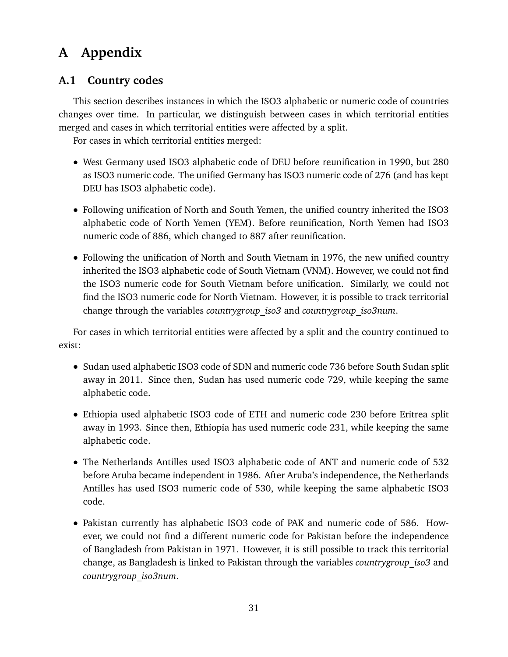# <span id="page-31-0"></span>**A Appendix**

# <span id="page-31-1"></span>**A.1 Country codes**

This section describes instances in which the ISO3 alphabetic or numeric code of countries changes over time. In particular, we distinguish between cases in which territorial entities merged and cases in which territorial entities were affected by a split.

For cases in which territorial entities merged:

- West Germany used ISO3 alphabetic code of DEU before reunification in 1990, but 280 as ISO3 numeric code. The unified Germany has ISO3 numeric code of 276 (and has kept DEU has ISO3 alphabetic code).
- Following unification of North and South Yemen, the unified country inherited the ISO3 alphabetic code of North Yemen (YEM). Before reunification, North Yemen had ISO3 numeric code of 886, which changed to 887 after reunification.
- Following the unification of North and South Vietnam in 1976, the new unified country inherited the ISO3 alphabetic code of South Vietnam (VNM). However, we could not find the ISO3 numeric code for South Vietnam before unification. Similarly, we could not find the ISO3 numeric code for North Vietnam. However, it is possible to track territorial change through the variables *countrygroup\_iso3* and *countrygroup\_iso3num*.

For cases in which territorial entities were affected by a split and the country continued to exist:

- Sudan used alphabetic ISO3 code of SDN and numeric code 736 before South Sudan split away in 2011. Since then, Sudan has used numeric code 729, while keeping the same alphabetic code.
- Ethiopia used alphabetic ISO3 code of ETH and numeric code 230 before Eritrea split away in 1993. Since then, Ethiopia has used numeric code 231, while keeping the same alphabetic code.
- The Netherlands Antilles used ISO3 alphabetic code of ANT and numeric code of 532 before Aruba became independent in 1986. After Aruba's independence, the Netherlands Antilles has used ISO3 numeric code of 530, while keeping the same alphabetic ISO3 code.
- Pakistan currently has alphabetic ISO3 code of PAK and numeric code of 586. However, we could not find a different numeric code for Pakistan before the independence of Bangladesh from Pakistan in 1971. However, it is still possible to track this territorial change, as Bangladesh is linked to Pakistan through the variables *countrygroup\_iso3* and *countrygroup\_iso3num*.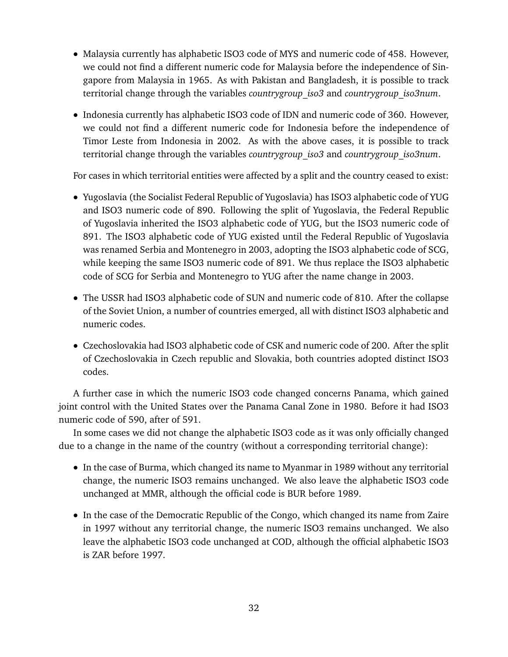- Malaysia currently has alphabetic ISO3 code of MYS and numeric code of 458. However, we could not find a different numeric code for Malaysia before the independence of Singapore from Malaysia in 1965. As with Pakistan and Bangladesh, it is possible to track territorial change through the variables *countrygroup\_iso3* and *countrygroup\_iso3num*.
- Indonesia currently has alphabetic ISO3 code of IDN and numeric code of 360. However, we could not find a different numeric code for Indonesia before the independence of Timor Leste from Indonesia in 2002. As with the above cases, it is possible to track territorial change through the variables *countrygroup\_iso3* and *countrygroup\_iso3num*.

For cases in which territorial entities were affected by a split and the country ceased to exist:

- Yugoslavia (the Socialist Federal Republic of Yugoslavia) has ISO3 alphabetic code of YUG and ISO3 numeric code of 890. Following the split of Yugoslavia, the Federal Republic of Yugoslavia inherited the ISO3 alphabetic code of YUG, but the ISO3 numeric code of 891. The ISO3 alphabetic code of YUG existed until the Federal Republic of Yugoslavia was renamed Serbia and Montenegro in 2003, adopting the ISO3 alphabetic code of SCG, while keeping the same ISO3 numeric code of 891. We thus replace the ISO3 alphabetic code of SCG for Serbia and Montenegro to YUG after the name change in 2003.
- The USSR had ISO3 alphabetic code of SUN and numeric code of 810. After the collapse of the Soviet Union, a number of countries emerged, all with distinct ISO3 alphabetic and numeric codes.
- Czechoslovakia had ISO3 alphabetic code of CSK and numeric code of 200. After the split of Czechoslovakia in Czech republic and Slovakia, both countries adopted distinct ISO3 codes.

A further case in which the numeric ISO3 code changed concerns Panama, which gained joint control with the United States over the Panama Canal Zone in 1980. Before it had ISO3 numeric code of 590, after of 591.

In some cases we did not change the alphabetic ISO3 code as it was only officially changed due to a change in the name of the country (without a corresponding territorial change):

- In the case of Burma, which changed its name to Myanmar in 1989 without any territorial change, the numeric ISO3 remains unchanged. We also leave the alphabetic ISO3 code unchanged at MMR, although the official code is BUR before 1989.
- In the case of the Democratic Republic of the Congo, which changed its name from Zaire in 1997 without any territorial change, the numeric ISO3 remains unchanged. We also leave the alphabetic ISO3 code unchanged at COD, although the official alphabetic ISO3 is ZAR before 1997.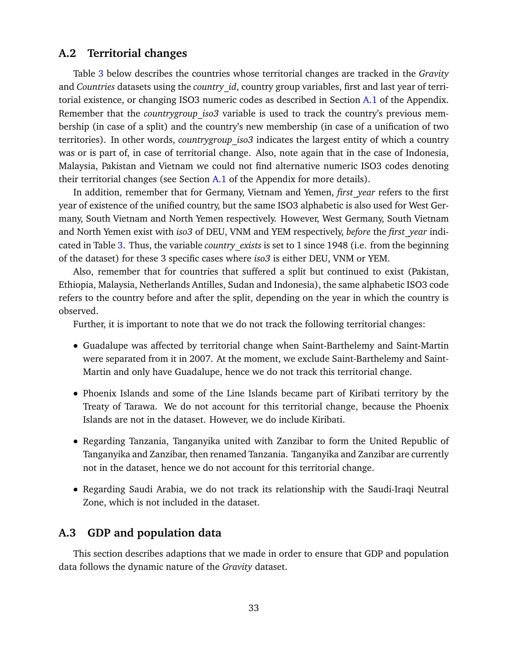## <span id="page-33-0"></span>**A.2 Territorial changes**

Table [3](#page-34-0) below describes the countries whose territorial changes are tracked in the *Gravity* and *Countries* datasets using the *country\_id*, country group variables, first and last year of terri-torial existence, or changing ISO3 numeric codes as described in Section [A.1](#page-31-1) of the Appendix. Remember that the *countrygroup\_iso3* variable is used to track the country's previous membership (in case of a split) and the country's new membership (in case of a unification of two territories). In other words, *countrygroup\_iso3* indicates the largest entity of which a country was or is part of, in case of territorial change. Also, note again that in the case of Indonesia, Malaysia, Pakistan and Vietnam we could not find alternative numeric ISO3 codes denoting their territorial changes (see Section  $A.1$  of the Appendix for more details).

In addition, remember that for Germany, Vietnam and Yemen, *first\_year* refers to the first year of existence of the unified country, but the same ISO3 alphabetic is also used for West Germany, South Vietnam and North Yemen respectively. However, West Germany, South Vietnam and North Yemen exist with *iso3* of DEU, VNM and YEM respectively, *before* the *first\_year* indicated in Table [3.](#page-34-0) Thus, the variable *country\_exists* is set to 1 since 1948 (i.e. from the beginning of the dataset) for these 3 specific cases where *iso3* is either DEU, VNM or YEM.

Also, remember that for countries that suffered a split but continued to exist (Pakistan, Ethiopia, Malaysia, Netherlands Antilles, Sudan and Indonesia), the same alphabetic ISO3 code refers to the country before and after the split, depending on the year in which the country is observed.

Further, it is important to note that we do not track the following territorial changes:

- Guadalupe was affected by territorial change when Saint-Barthelemy and Saint-Martin were separated from it in 2007. At the moment, we exclude Saint-Barthelemy and Saint-Martin and only have Guadalupe, hence we do not track this territorial change.
- Phoenix Islands and some of the Line Islands became part of Kiribati territory by the Treaty of Tarawa. We do not account for this territorial change, because the Phoenix Islands are not in the dataset. However, we do include Kiribati.
- Regarding Tanzania, Tanganyika united with Zanzibar to form the United Republic of Tanganyika and Zanzibar, then renamed Tanzania. Tanganyika and Zanzibar are currently not in the dataset, hence we do not account for this territorial change.
- Regarding Saudi Arabia, we do not track its relationship with the Saudi-Iraqi Neutral Zone, which is not included in the dataset.

# <span id="page-33-1"></span>**A.3 GDP and population data**

This section describes adaptions that we made in order to ensure that GDP and population data follows the dynamic nature of the *Gravity* dataset.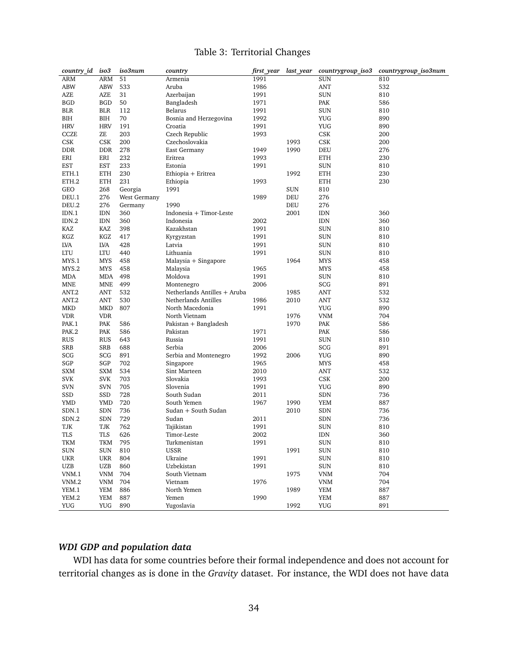## Table 3: Territorial Changes

<span id="page-34-0"></span>

| country id iso3   |            | iso3num      | country                      | first year | last_year | countrygroup iso3 | countrygroup_iso3num |
|-------------------|------------|--------------|------------------------------|------------|-----------|-------------------|----------------------|
| <b>ARM</b>        | <b>ARM</b> | 51           | Armenia                      | 1991       |           | <b>SUN</b>        | 810                  |
| <b>ABW</b>        | ABW        | 533          | Aruba                        | 1986       |           | <b>ANT</b>        | 532                  |
| AZE               | AZE        | 31           | Azerbaijan                   | 1991       |           | SUN               | 810                  |
| <b>BGD</b>        | <b>BGD</b> | 50           | Bangladesh                   | 1971       |           | PAK               | 586                  |
| <b>BLR</b>        | BLR        | 112          | Belarus                      | 1991       |           | SUN               | 810                  |
| BIH               | BIH        | 70           | Bosnia and Herzegovina       | 1992       |           | YUG               | 890                  |
| <b>HRV</b>        | <b>HRV</b> | 191          | Croatia                      | 1991       |           | YUG               | 890                  |
| CCZE              | ZE         | 203          | Czech Republic               | 1993       |           | CSK               | 200                  |
| CSK               | CSK        | 200          | Czechoslovakia               |            | 1993      | CSK               | 200                  |
| <b>DDR</b>        | <b>DDR</b> | 278          | East Germany                 | 1949       | 1990      | DEU               | 276                  |
| ERI               | ERI        | 232          | Eritrea                      | 1993       |           | ETH               | 230                  |
| EST               | EST        | 233          | Estonia                      | 1991       |           | <b>SUN</b>        | 810                  |
| ETH.1             | <b>ETH</b> | 230          | Ethiopia + Eritrea           |            | 1992      | ETH               | 230                  |
| ETH.2             | <b>ETH</b> | 231          | Ethiopia                     | 1993       |           | ETH               | 230                  |
| GEO               | 268        | Georgia      | 1991                         |            | SUN       | 810               |                      |
| DEU.1             | 276        | West Germany |                              | 1989       | DEU       | 276               |                      |
| DEU.2             | 276        | Germany      | 1990                         |            | DEU       | 276               |                      |
| IDN.1             | <b>IDN</b> | 360          | Indonesia + Timor-Leste      |            | 2001      | IDN               | 360                  |
| IDN.2             | IDN        | 360          | Indonesia                    | 2002       |           | IDN               | 360                  |
| KAZ               | KAZ        | 398          | Kazakhstan                   | 1991       |           | SUN               | 810                  |
| KGZ               |            |              |                              |            |           |                   |                      |
|                   | KGZ        | 417          | Kyrgyzstan                   | 1991       |           | <b>SUN</b>        | 810                  |
| LVA               | LVA        | 428          | Latvia                       | 1991       |           | SUN               | 810                  |
| LTU               | LTU        | 440          | Lithuania                    | 1991       |           | <b>SUN</b>        | 810                  |
| MYS.1             | <b>MYS</b> | 458          | Malaysia + Singapore         |            | 1964      | <b>MYS</b>        | 458                  |
| MYS.2             | <b>MYS</b> | 458          | Malaysia                     | 1965       |           | MYS               | 458                  |
| <b>MDA</b>        | MDA        | 498          | Moldova                      | 1991       |           | SUN               | 810                  |
| <b>MNE</b>        | MNE        | 499          | Montenegro                   | 2006       |           | SCG               | 891                  |
| ANT <sub>.2</sub> | ANT        | 532          | Netherlands Antilles + Aruba |            | 1985      | <b>ANT</b>        | 532                  |
| ANT <sub>.2</sub> | ANT        | 530          | Netherlands Antilles         | 1986       | 2010      | ANT               | 532                  |
| <b>MKD</b>        | <b>MKD</b> | 807          | North Macedonia              | 1991       |           | YUG               | 890                  |
| <b>VDR</b>        | <b>VDR</b> |              | North Vietnam                |            | 1976      | <b>VNM</b>        | 704                  |
| PAK.1             | PAK        | 586          | Pakistan + Bangladesh        |            | 1970      | PAK               | 586                  |
| PAK.2             | PAK        | 586          | Pakistan                     | 1971       |           | PAK               | 586                  |
| <b>RUS</b>        | <b>RUS</b> | 643          | Russia                       | 1991       |           | SUN               | 810                  |
| SRB               | SRB        | 688          | Serbia                       | 2006       |           | SCG               | 891                  |
| SCG               | SCG        | 891          | Serbia and Montenegro        | 1992       | 2006      | YUG               | 890                  |
| SGP               | SGP        | 702          | Singapore                    | 1965       |           | <b>MYS</b>        | 458                  |
| <b>SXM</b>        | SXM        | 534          | Sint Marteen                 | 2010       |           | <b>ANT</b>        | 532                  |
| <b>SVK</b>        | <b>SVK</b> | 703          | Slovakia                     | 1993       |           | CSK               | 200                  |
| <b>SVN</b>        | <b>SVN</b> | 705          | Slovenia                     | 1991       |           | YUG               | 890                  |
| SSD               | SSD        | 728          | South Sudan                  | 2011       |           | <b>SDN</b>        | 736                  |
| YMD               | YMD        | 720          | South Yemen                  | 1967       | 1990      | YEM               | 887                  |
| SDN.1             | SDN        | 736          | Sudan + South Sudan          |            | 2010      | SDN               | 736                  |
| SDN.2             | SDN        | 729          | Sudan                        | 2011       |           | <b>SDN</b>        | 736                  |
| TJK               | TJK        | 762          | Tajikistan                   | 1991       |           | <b>SUN</b>        | 810                  |
| <b>TLS</b>        | TLS        | 626          | Timor-Leste                  | 2002       |           | IDN               | 360                  |
| TKM               | <b>TKM</b> | 795          | Turkmenistan                 | 1991       |           | SUN               | 810                  |
| SUN               | <b>SUN</b> | 810          | <b>USSR</b>                  |            | 1991      | SUN               | 810                  |
| <b>UKR</b>        | <b>UKR</b> | 804          | Ukraine                      | 1991       |           | SUN               | 810                  |
| UZB               | UZB        | 860          | Uzbekistan                   | 1991       |           | <b>SUN</b>        | 810                  |
| VNM.1             | VNM        | 704          | South Vietnam                |            | 1975      | <b>VNM</b>        | 704                  |
| VNM.2             | <b>VNM</b> | 704          | Vietnam                      | 1976       |           | <b>VNM</b>        | 704                  |
| YEM.1             | YEM        | 886          | North Yemen                  |            | 1989      | YEM               | 887                  |
| YEM.2             | YEM        | 887          | Yemen                        | 1990       |           | YEM               | 887                  |
| <b>YUG</b>        | YUG        | 890          | Yugoslavia                   |            | 1992      | <b>YUG</b>        | 891                  |
|                   |            |              |                              |            |           |                   |                      |

## *WDI GDP and population data*

WDI has data for some countries before their formal independence and does not account for territorial changes as is done in the *Gravity* dataset. For instance, the WDI does not have data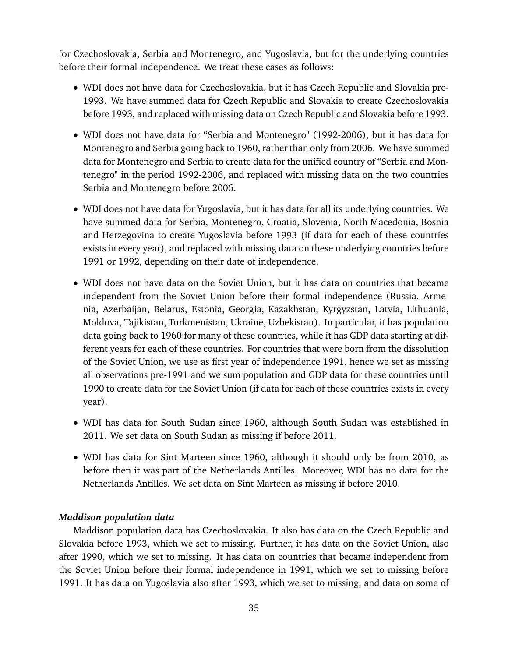for Czechoslovakia, Serbia and Montenegro, and Yugoslavia, but for the underlying countries before their formal independence. We treat these cases as follows:

- WDI does not have data for Czechoslovakia, but it has Czech Republic and Slovakia pre-1993. We have summed data for Czech Republic and Slovakia to create Czechoslovakia before 1993, and replaced with missing data on Czech Republic and Slovakia before 1993.
- WDI does not have data for "Serbia and Montenegro" (1992-2006), but it has data for Montenegro and Serbia going back to 1960, rather than only from 2006. We have summed data for Montenegro and Serbia to create data for the unified country of "Serbia and Montenegro" in the period 1992-2006, and replaced with missing data on the two countries Serbia and Montenegro before 2006.
- WDI does not have data for Yugoslavia, but it has data for all its underlying countries. We have summed data for Serbia, Montenegro, Croatia, Slovenia, North Macedonia, Bosnia and Herzegovina to create Yugoslavia before 1993 (if data for each of these countries exists in every year), and replaced with missing data on these underlying countries before 1991 or 1992, depending on their date of independence.
- WDI does not have data on the Soviet Union, but it has data on countries that became independent from the Soviet Union before their formal independence (Russia, Armenia, Azerbaijan, Belarus, Estonia, Georgia, Kazakhstan, Kyrgyzstan, Latvia, Lithuania, Moldova, Tajikistan, Turkmenistan, Ukraine, Uzbekistan). In particular, it has population data going back to 1960 for many of these countries, while it has GDP data starting at different years for each of these countries. For countries that were born from the dissolution of the Soviet Union, we use as first year of independence 1991, hence we set as missing all observations pre-1991 and we sum population and GDP data for these countries until 1990 to create data for the Soviet Union (if data for each of these countries exists in every year).
- WDI has data for South Sudan since 1960, although South Sudan was established in 2011. We set data on South Sudan as missing if before 2011.
- WDI has data for Sint Marteen since 1960, although it should only be from 2010, as before then it was part of the Netherlands Antilles. Moreover, WDI has no data for the Netherlands Antilles. We set data on Sint Marteen as missing if before 2010.

## *Maddison population data*

Maddison population data has Czechoslovakia. It also has data on the Czech Republic and Slovakia before 1993, which we set to missing. Further, it has data on the Soviet Union, also after 1990, which we set to missing. It has data on countries that became independent from the Soviet Union before their formal independence in 1991, which we set to missing before 1991. It has data on Yugoslavia also after 1993, which we set to missing, and data on some of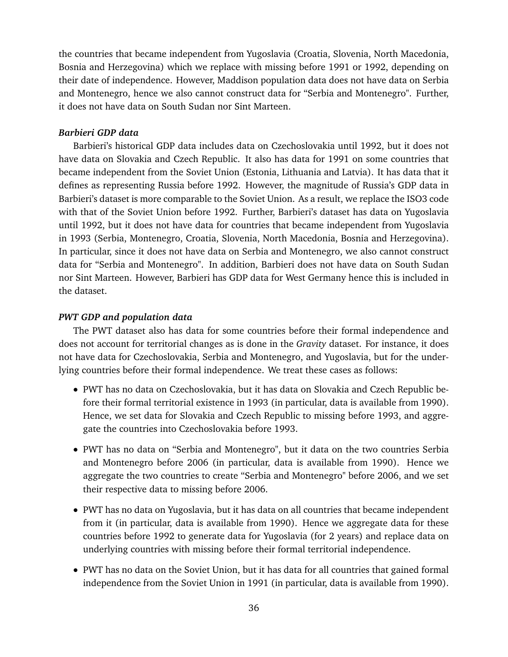the countries that became independent from Yugoslavia (Croatia, Slovenia, North Macedonia, Bosnia and Herzegovina) which we replace with missing before 1991 or 1992, depending on their date of independence. However, Maddison population data does not have data on Serbia and Montenegro, hence we also cannot construct data for "Serbia and Montenegro". Further, it does not have data on South Sudan nor Sint Marteen.

## *Barbieri GDP data*

Barbieri's historical GDP data includes data on Czechoslovakia until 1992, but it does not have data on Slovakia and Czech Republic. It also has data for 1991 on some countries that became independent from the Soviet Union (Estonia, Lithuania and Latvia). It has data that it defines as representing Russia before 1992. However, the magnitude of Russia's GDP data in Barbieri's dataset is more comparable to the Soviet Union. As a result, we replace the ISO3 code with that of the Soviet Union before 1992. Further, Barbieri's dataset has data on Yugoslavia until 1992, but it does not have data for countries that became independent from Yugoslavia in 1993 (Serbia, Montenegro, Croatia, Slovenia, North Macedonia, Bosnia and Herzegovina). In particular, since it does not have data on Serbia and Montenegro, we also cannot construct data for "Serbia and Montenegro". In addition, Barbieri does not have data on South Sudan nor Sint Marteen. However, Barbieri has GDP data for West Germany hence this is included in the dataset.

#### *PWT GDP and population data*

The PWT dataset also has data for some countries before their formal independence and does not account for territorial changes as is done in the *Gravity* dataset. For instance, it does not have data for Czechoslovakia, Serbia and Montenegro, and Yugoslavia, but for the underlying countries before their formal independence. We treat these cases as follows:

- PWT has no data on Czechoslovakia, but it has data on Slovakia and Czech Republic before their formal territorial existence in 1993 (in particular, data is available from 1990). Hence, we set data for Slovakia and Czech Republic to missing before 1993, and aggregate the countries into Czechoslovakia before 1993.
- PWT has no data on "Serbia and Montenegro", but it data on the two countries Serbia and Montenegro before 2006 (in particular, data is available from 1990). Hence we aggregate the two countries to create "Serbia and Montenegro" before 2006, and we set their respective data to missing before 2006.
- PWT has no data on Yugoslavia, but it has data on all countries that became independent from it (in particular, data is available from 1990). Hence we aggregate data for these countries before 1992 to generate data for Yugoslavia (for 2 years) and replace data on underlying countries with missing before their formal territorial independence.
- PWT has no data on the Soviet Union, but it has data for all countries that gained formal independence from the Soviet Union in 1991 (in particular, data is available from 1990).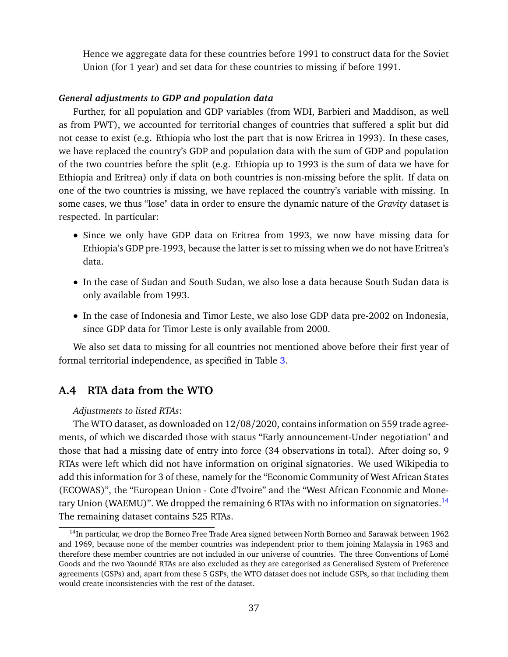Hence we aggregate data for these countries before 1991 to construct data for the Soviet Union (for 1 year) and set data for these countries to missing if before 1991.

## *General adjustments to GDP and population data*

Further, for all population and GDP variables (from WDI, Barbieri and Maddison, as well as from PWT), we accounted for territorial changes of countries that suffered a split but did not cease to exist (e.g. Ethiopia who lost the part that is now Eritrea in 1993). In these cases, we have replaced the country's GDP and population data with the sum of GDP and population of the two countries before the split (e.g. Ethiopia up to 1993 is the sum of data we have for Ethiopia and Eritrea) only if data on both countries is non-missing before the split. If data on one of the two countries is missing, we have replaced the country's variable with missing. In some cases, we thus "lose" data in order to ensure the dynamic nature of the *Gravity* dataset is respected. In particular:

- Since we only have GDP data on Eritrea from 1993, we now have missing data for Ethiopia's GDP pre-1993, because the latter is set to missing when we do not have Eritrea's data.
- In the case of Sudan and South Sudan, we also lose a data because South Sudan data is only available from 1993.
- In the case of Indonesia and Timor Leste, we also lose GDP data pre-2002 on Indonesia, since GDP data for Timor Leste is only available from 2000.

We also set data to missing for all countries not mentioned above before their first year of formal territorial independence, as specified in Table [3.](#page-34-0)

## <span id="page-37-0"></span>**A.4 RTA data from the WTO**

#### *Adjustments to listed RTAs*:

The WTO dataset, as downloaded on 12/08/2020, contains information on 559 trade agreements, of which we discarded those with status "Early announcement-Under negotiation" and those that had a missing date of entry into force (34 observations in total). After doing so, 9 RTAs were left which did not have information on original signatories. We used Wikipedia to add this information for 3 of these, namely for the "Economic Community of West African States (ECOWAS)", the "European Union - Cote d'Ivoire" and the "West African Economic and Mone-tary Union (WAEMU)". We dropped the remaining 6 RTAs with no information on signatories.<sup>[14](#page-37-1)</sup> The remaining dataset contains 525 RTAs.

<span id="page-37-1"></span><sup>&</sup>lt;sup>14</sup>In particular, we drop the Borneo Free Trade Area signed between North Borneo and Sarawak between 1962 and 1969, because none of the member countries was independent prior to them joining Malaysia in 1963 and therefore these member countries are not included in our universe of countries. The three Conventions of Lomé Goods and the two Yaoundé RTAs are also excluded as they are categorised as Generalised System of Preference agreements (GSPs) and, apart from these 5 GSPs, the WTO dataset does not include GSPs, so that including them would create inconsistencies with the rest of the dataset.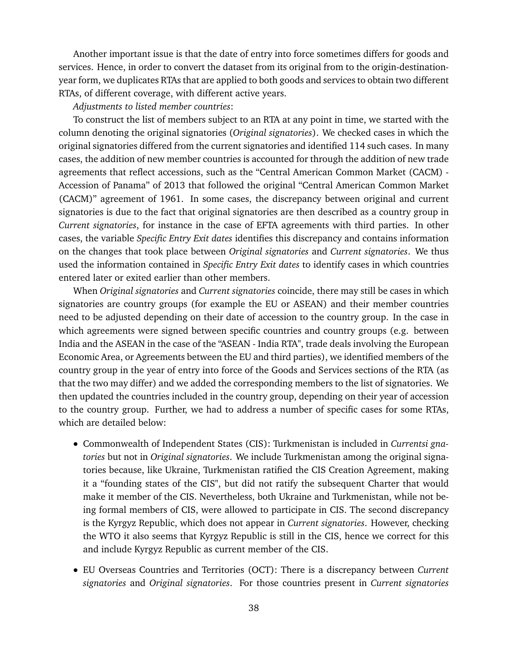Another important issue is that the date of entry into force sometimes differs for goods and services. Hence, in order to convert the dataset from its original from to the origin-destinationyear form, we duplicates RTAs that are applied to both goods and services to obtain two different RTAs, of different coverage, with different active years.

#### *Adjustments to listed member countries*:

To construct the list of members subject to an RTA at any point in time, we started with the column denoting the original signatories (*Original signatories*). We checked cases in which the original signatories differed from the current signatories and identified 114 such cases. In many cases, the addition of new member countries is accounted for through the addition of new trade agreements that reflect accessions, such as the "Central American Common Market (CACM) - Accession of Panama" of 2013 that followed the original "Central American Common Market (CACM)" agreement of 1961. In some cases, the discrepancy between original and current signatories is due to the fact that original signatories are then described as a country group in *Current signatories*, for instance in the case of EFTA agreements with third parties. In other cases, the variable *Specific Entry Exit dates* identifies this discrepancy and contains information on the changes that took place between *Original signatories* and *Current signatories*. We thus used the information contained in *Specific Entry Exit dates* to identify cases in which countries entered later or exited earlier than other members.

When *Original signatories* and *Current signatories* coincide, there may still be cases in which signatories are country groups (for example the EU or ASEAN) and their member countries need to be adjusted depending on their date of accession to the country group. In the case in which agreements were signed between specific countries and country groups (e.g. between India and the ASEAN in the case of the "ASEAN - India RTA", trade deals involving the European Economic Area, or Agreements between the EU and third parties), we identified members of the country group in the year of entry into force of the Goods and Services sections of the RTA (as that the two may differ) and we added the corresponding members to the list of signatories. We then updated the countries included in the country group, depending on their year of accession to the country group. Further, we had to address a number of specific cases for some RTAs, which are detailed below:

- Commonwealth of Independent States (CIS): Turkmenistan is included in *Currentsi gnatories* but not in *Original signatories*. We include Turkmenistan among the original signatories because, like Ukraine, Turkmenistan ratified the CIS Creation Agreement, making it a "founding states of the CIS", but did not ratify the subsequent Charter that would make it member of the CIS. Nevertheless, both Ukraine and Turkmenistan, while not being formal members of CIS, were allowed to participate in CIS. The second discrepancy is the Kyrgyz Republic, which does not appear in *Current signatories*. However, checking the WTO it also seems that Kyrgyz Republic is still in the CIS, hence we correct for this and include Kyrgyz Republic as current member of the CIS.
- EU Overseas Countries and Territories (OCT): There is a discrepancy between *Current signatories* and *Original signatories*. For those countries present in *Current signatories*